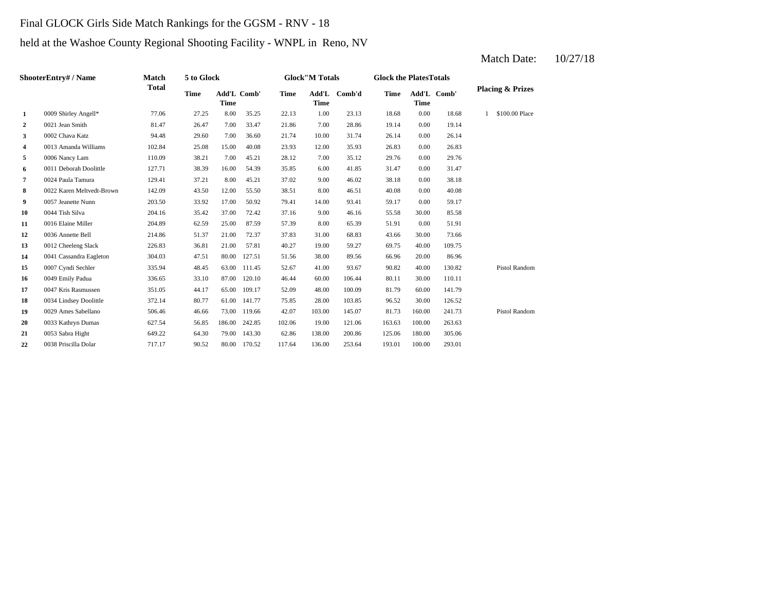# Final GLOCK Girls Side Match Rankings for the GGSM - RNV - 18

# held at the Washoe County Regional Shooting Facility - WNPL in Reno, NV

#### **2 2 2 20.21 Jean Smith 21.47 20.47 20.47 21.86 22.86 28.86 19.14 3** 10.00 002 Chava Katz 10.14 10.00 94.48 29.60 29.60 20.700 20.74 26.14 26.14 **4** 0013 Amanda Williams 102.84 25.08 15.00 40.08 23.93 12.00 35.93 26.83 **5** 7.0006 Nancy Lam **110.09** 38.21 7.00 45.21 28.12 7.00 35.12 29.76 0.00 **6** 0011 Deborah Doolittle 127.71 38.39 16.00 54.39 35.85 6.00 41.85 31.47 0.00 31.47 **7** 9.00 46.02 **38.18** 129.41 **37.21 8.00 45.21 37.02 9.00 46.02 38.18 8** 0022 Karen Meltvedt-Brown 142.09 43.50 12.00 55.50 38.51 8.00 46.51 40.08 **9** 0057 Jeanette Nunn 203.50 33.92 17.00 50.92 79.41 14.00 93.41 59.17 0.00 **10** 9.00 **46.16 10** 9.55.58 **11** 0016 Elaine Miller **204.89** 62.59 25.00 87.59 57.39 8.00 65.39 51.91 **12** 0036 Annette Bell 214.86 51.37 21.00 72.37 37.83 31.00 68.83 43.66 **13** 19.00 69.75 0012 Cheeleng Slack 226.83 36.81 21.00 57.81 40.27 59.27 40.00 **14** 38.00 66.96 0041 Cassandra Eagleton 304.03 47.51 80.00 127.51 51.56 89.56 20.00 86.96 **15** 41.00 90.82 0007 Cyndi Sechler 335.94 48.45 63.00 111.45 52.67 **16** 0049 Emily Padua 336.65 33.10 87.00 120.10 46.44 60.00 106.44 80.11 **17** 0047 Kris Rasmussen 351.05 44.17 65.00 109.17 52.09 48.00 100.09 81.79 **18** 0034 Lindsey Doolittle **28.00 372.14** 80.77 61.00 141.77 75.85 28.00 103.85 96.52 30.00 **19** 0029 Ames Sabellano 506.46 46.66 73.00 119.66 42.07 103.00 145.07 81.73 160.00 241.73 **20** 0033 Kathryn Dumas 627.54 56.85 186.00 242.85 102.06 19.00 121.06 163.63 100.00 263.63 **21** 138.00 125.06 0053 Sabra Hight 649.22 64.30 79.00 143.30 62.86 **22** 136.00 193.01 100.00 293.01 0038 Priscilla Dolar 717.17 90.52 80.00 170.52 117.64 253.64 200.86 180.00 305.06 Pistol Random 126.52 60.00 141.79 106.44 30.00 110.11 93.67 40.00 130.82 Pistol Random 109.75 30.00 73.66 65.39 0.00 51.91 59.17 0044 Tish Silva 204.16 35.42 37.00 72.42 37.16 46.16 30.00 85.58 0.00 40.08 46.02 0.00 38.18 29.76 0.00 26.83 31.74 0.00 26.14 \$100.00 Place 0021 Jean Smith 81.47 26.47 7.00 33.47 21.86 7.00 28.86 19.14 0.00 19.14 1.00 23.13 18.68 0.00 18.68 1 **Time Add'L Comb' Time 1** 0009 Shirley Angell\* 77.06 27.25 8.00 35.25 22.13 **Time Add'L Comb' Time Time Add'L Comb'd Time ShooterEntry# / Name Match Total 5 to Glock Time Glock"M Totals Glock the PlatesTotals Placing & Prizes**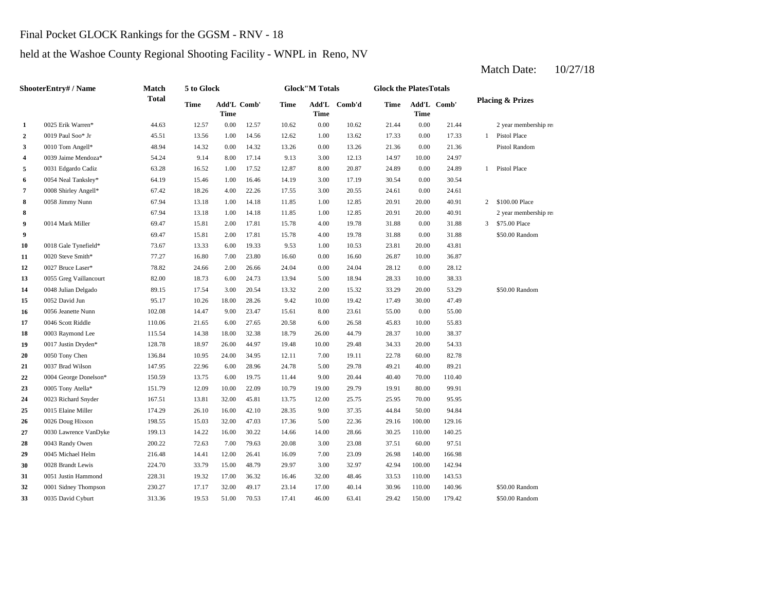# Final Pocket GLOCK Rankings for the GGSM - RNV - 18

# held at the Washoe County Regional Shooting Facility - WNPL in Reno, NV

| ShooterEntry# / Name    |                        | Match        | 5 to Glock |                            |       | <b>Glock</b> "M Totals |             |              | <b>Glock the PlatesTotals</b> |             |             |                |                             |  |
|-------------------------|------------------------|--------------|------------|----------------------------|-------|------------------------|-------------|--------------|-------------------------------|-------------|-------------|----------------|-----------------------------|--|
|                         |                        | <b>Total</b> | Time       | Add'L Comb'<br><b>Time</b> |       | Time                   | <b>Time</b> | Add'L Comb'd | <b>Time</b>                   | <b>Time</b> | Add'L Comb' |                | <b>Placing &amp; Prizes</b> |  |
| $\mathbf{1}$            | 0025 Erik Warren*      | 44.63        | 12.57      | 0.00                       | 12.57 | 10.62                  | 0.00        | 10.62        | 21.44                         | 0.00        | 21.44       |                | 2 year membership rea       |  |
| $\overline{2}$          | 0019 Paul Soo* Jr      | 45.51        | 13.56      | 1.00                       | 14.56 | 12.62                  | 1.00        | 13.62        | 17.33                         | 0.00        | 17.33       | $\mathbf{1}$   | <b>Pistol Place</b>         |  |
| 3                       | 0010 Tom Angell*       | 48.94        | 14.32      | 0.00                       | 14.32 | 13.26                  | 0.00        | 13.26        | 21.36                         | 0.00        | 21.36       |                | Pistol Random               |  |
| $\overline{\mathbf{4}}$ | 0039 Jaime Mendoza*    | 54.24        | 9.14       | 8.00                       | 17.14 | 9.13                   | 3.00        | 12.13        | 14.97                         | 10.00       | 24.97       |                |                             |  |
| 5                       | 0031 Edgardo Cadiz     | 63.28        | 16.52      | 1.00                       | 17.52 | 12.87                  | 8.00        | 20.87        | 24.89                         | 0.00        | 24.89       | $\mathbf{1}$   | <b>Pistol Place</b>         |  |
| 6                       | 0054 Neal Tanksley*    | 64.19        | 15.46      | 1.00                       | 16.46 | 14.19                  | 3.00        | 17.19        | 30.54                         | 0.00        | 30.54       |                |                             |  |
| 7                       | 0008 Shirley Angell*   | 67.42        | 18.26      | 4.00                       | 22.26 | 17.55                  | 3.00        | 20.55        | 24.61                         | 0.00        | 24.61       |                |                             |  |
| 8                       | 0058 Jimmy Nunn        | 67.94        | 13.18      | 1.00                       | 14.18 | 11.85                  | 1.00        | 12.85        | 20.91                         | 20.00       | 40.91       | $\overline{2}$ | \$100.00 Place              |  |
| 8                       |                        | 67.94        | 13.18      | 1.00                       | 14.18 | 11.85                  | 1.00        | 12.85        | 20.91                         | 20.00       | 40.91       |                | 2 year membership rea       |  |
| 9                       | 0014 Mark Miller       | 69.47        | 15.81      | 2.00                       | 17.81 | 15.78                  | 4.00        | 19.78        | 31.88                         | 0.00        | 31.88       | 3              | \$75.00 Place               |  |
| 9                       |                        | 69.47        | 15.81      | 2.00                       | 17.81 | 15.78                  | 4.00        | 19.78        | 31.88                         | 0.00        | 31.88       |                | \$50.00 Random              |  |
| 10                      | 0018 Gale Tynefield*   | 73.67        | 13.33      | 6.00                       | 19.33 | 9.53                   | 1.00        | 10.53        | 23.81                         | 20.00       | 43.81       |                |                             |  |
| 11                      | 0020 Steve Smith*      | 77.27        | 16.80      | 7.00                       | 23.80 | 16.60                  | 0.00        | 16.60        | 26.87                         | 10.00       | 36.87       |                |                             |  |
| 12                      | 0027 Bruce Laser*      | 78.82        | 24.66      | 2.00                       | 26.66 | 24.04                  | 0.00        | 24.04        | 28.12                         | 0.00        | 28.12       |                |                             |  |
| 13                      | 0055 Greg Vaillancourt | 82.00        | 18.73      | 6.00                       | 24.73 | 13.94                  | 5.00        | 18.94        | 28.33                         | 10.00       | 38.33       |                |                             |  |
| 14                      | 0048 Julian Delgado    | 89.15        | 17.54      | 3.00                       | 20.54 | 13.32                  | 2.00        | 15.32        | 33.29                         | 20.00       | 53.29       |                | \$50.00 Random              |  |
| 15                      | 0052 David Jun         | 95.17        | 10.26      | 18.00                      | 28.26 | 9.42                   | 10.00       | 19.42        | 17.49                         | 30.00       | 47.49       |                |                             |  |
| 16                      | 0056 Jeanette Nunn     | 102.08       | 14.47      | 9.00                       | 23.47 | 15.61                  | 8.00        | 23.61        | 55.00                         | 0.00        | 55.00       |                |                             |  |
| 17                      | 0046 Scott Riddle      | 110.06       | 21.65      | 6.00                       | 27.65 | 20.58                  | 6.00        | 26.58        | 45.83                         | 10.00       | 55.83       |                |                             |  |
| 18                      | 0003 Raymond Lee       | 115.54       | 14.38      | 18.00                      | 32.38 | 18.79                  | 26.00       | 44.79        | 28.37                         | 10.00       | 38.37       |                |                             |  |
| 19                      | 0017 Justin Dryden*    | 128.78       | 18.97      | 26.00                      | 44.97 | 19.48                  | 10.00       | 29.48        | 34.33                         | 20.00       | 54.33       |                |                             |  |
| 20                      | 0050 Tony Chen         | 136.84       | 10.95      | 24.00                      | 34.95 | 12.11                  | 7.00        | 19.11        | 22.78                         | 60.00       | 82.78       |                |                             |  |
| 21                      | 0037 Brad Wilson       | 147.95       | 22.96      | 6.00                       | 28.96 | 24.78                  | 5.00        | 29.78        | 49.21                         | 40.00       | 89.21       |                |                             |  |
| 22                      | 0004 George Donelson*  | 150.59       | 13.75      | 6.00                       | 19.75 | 11.44                  | 9.00        | 20.44        | 40.40                         | 70.00       | 110.40      |                |                             |  |
| 23                      | 0005 Tony Atella*      | 151.79       | 12.09      | 10.00                      | 22.09 | 10.79                  | 19.00       | 29.79        | 19.91                         | 80.00       | 99.91       |                |                             |  |
| 24                      | 0023 Richard Snyder    | 167.51       | 13.81      | 32.00                      | 45.81 | 13.75                  | 12.00       | 25.75        | 25.95                         | 70.00       | 95.95       |                |                             |  |
| 25                      | 0015 Elaine Miller     | 174.29       | 26.10      | 16.00                      | 42.10 | 28.35                  | 9.00        | 37.35        | 44.84                         | 50.00       | 94.84       |                |                             |  |
| 26                      | 0026 Doug Hixson       | 198.55       | 15.03      | 32.00                      | 47.03 | 17.36                  | 5.00        | 22.36        | 29.16                         | 100.00      | 129.16      |                |                             |  |
| 27                      | 0030 Lawrence VanDyke  | 199.13       | 14.22      | 16.00                      | 30.22 | 14.66                  | 14.00       | 28.66        | 30.25                         | 110.00      | 140.25      |                |                             |  |
| 28                      | 0043 Randy Owen        | 200.22       | 72.63      | 7.00                       | 79.63 | 20.08                  | 3.00        | 23.08        | 37.51                         | 60.00       | 97.51       |                |                             |  |
| 29                      | 0045 Michael Helm      | 216.48       | 14.41      | 12.00                      | 26.41 | 16.09                  | 7.00        | 23.09        | 26.98                         | 140.00      | 166.98      |                |                             |  |
| 30                      | 0028 Brandt Lewis      | 224.70       | 33.79      | 15.00                      | 48.79 | 29.97                  | 3.00        | 32.97        | 42.94                         | 100.00      | 142.94      |                |                             |  |
| 31                      | 0051 Justin Hammond    | 228.31       | 19.32      | 17.00                      | 36.32 | 16.46                  | 32.00       | 48.46        | 33.53                         | 110.00      | 143.53      |                |                             |  |
| 32                      | 0001 Sidney Thompson   | 230.27       | 17.17      | 32.00                      | 49.17 | 23.14                  | 17.00       | 40.14        | 30.96                         | 110.00      | 140.96      |                | \$50.00 Random              |  |
| 33                      | 0035 David Cyburt      | 313.36       | 19.53      | 51.00                      | 70.53 | 17.41                  | 46.00       | 63.41        | 29.42                         | 150.00      | 179.42      |                | \$50.00 Random              |  |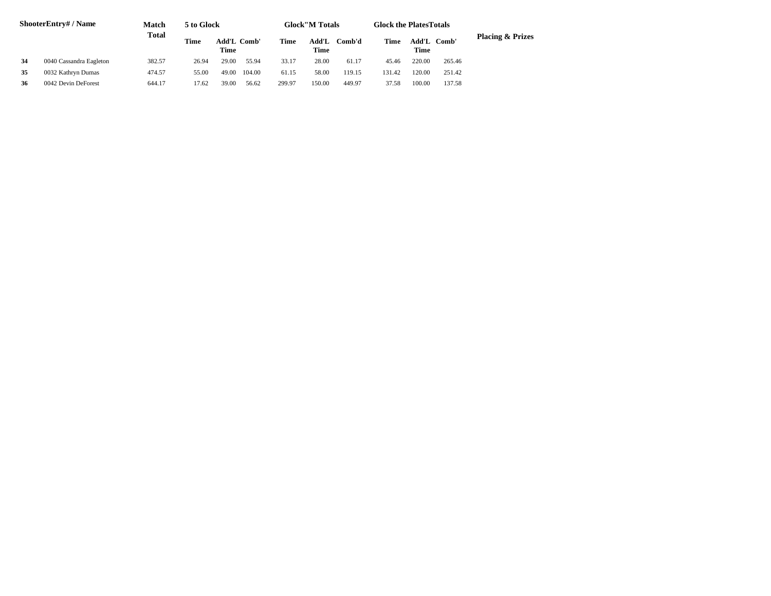| ShooterEntry# / Name |                         | <b>Match</b> | 5 to Glock |                     |        |        | <b>Glock</b> "M Totals |        | <b>Glock the Plates Totals</b> |        |             |                             |
|----------------------|-------------------------|--------------|------------|---------------------|--------|--------|------------------------|--------|--------------------------------|--------|-------------|-----------------------------|
|                      |                         | <b>Total</b> | Time       | Add'L Comb'<br>Time |        | Time   | Add'L<br>Time          | Comb'd | Time                           | Time   | Add'L Comb' | <b>Placing &amp; Prizes</b> |
| 34                   | 0040 Cassandra Eagleton | 382.57       | 26.94      | 29.00               | 55.94  | 33.17  | 28.00                  | 61.17  | 45.46                          | 220.00 | 265.46      |                             |
| 35                   | 0032 Kathryn Dumas      | 474.57       | 55.00      | 49.00               | 104.00 | 61.15  | 58.00                  | 119.15 | 131.42                         | 120.00 | 251.42      |                             |
| 36                   | 0042 Devin DeForest     | 644.17       | 17.62      | 39.00               | 56.62  | 299.97 | 150.00                 | 449.97 | 37.58                          | 100.00 | 137.58      |                             |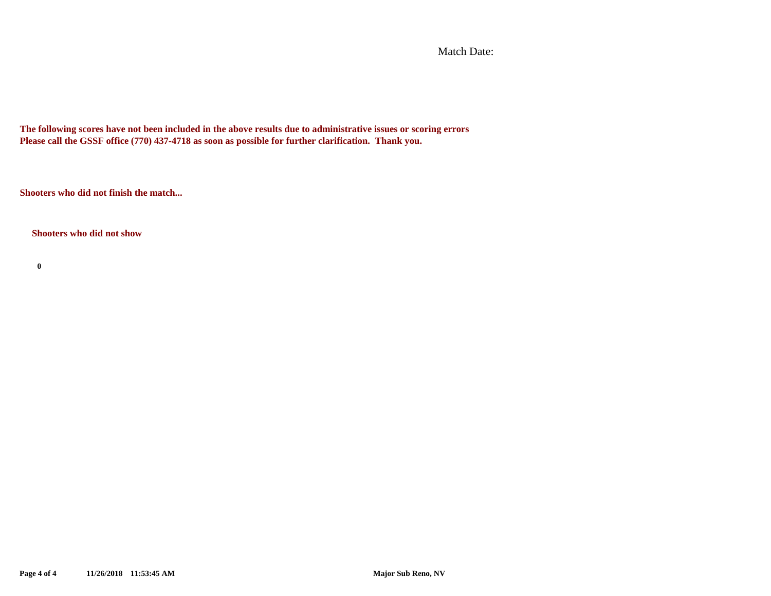Match Date:

**The following scores have not been included in the above results due to administrative issues or scoring errors Please call the GSSF office (770) 437-4718 as soon as possible for further clarification. Thank you.**

**Shooters who did not finish the match...**

**Shooters who did not show**

**0**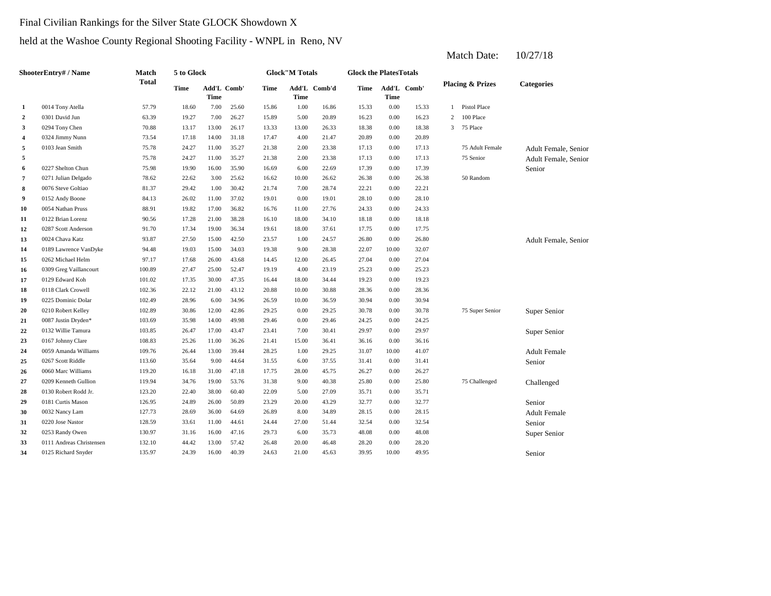# Final Civilian Rankings for the Silver State GLOCK Showdown X

# held at the Washoe County Regional Shooting Facility - WNPL in Reno, NV

| ShooterEntry# / Name |                          | Match  | 5 to Glock |       |                    |       | <b>Glock"M Totals</b> |              | <b>Glock the Plates Totals</b> |       |             |                |                             |                      |
|----------------------|--------------------------|--------|------------|-------|--------------------|-------|-----------------------|--------------|--------------------------------|-------|-------------|----------------|-----------------------------|----------------------|
|                      |                          | Total  | Time       | Time  | <b>Add'L Comb'</b> | Time  | Time                  | Add'L Comb'd | Time                           | Time  | Add'L Comb' |                | <b>Placing &amp; Prizes</b> | <b>Categories</b>    |
| 1                    | 0014 Tony Atella         | 57.79  | 18.60      | 7.00  | 25.60              | 15.86 | 1.00                  | 16.86        | 15.33                          | 0.00  | 15.33       |                | 1 Pistol Place              |                      |
| 2                    | 0301 David Jun           | 63.39  | 19.27      | 7.00  | 26.27              | 15.89 | 5.00                  | 20.89        | 16.23                          | 0.00  | 16.23       | 2              | 100 Place                   |                      |
| 3                    | 0294 Tony Chen           | 70.88  | 13.17      | 13.00 | 26.17              | 13.33 | 13.00                 | 26.33        | 18.38                          | 0.00  | 18.38       | 3 <sup>1</sup> | 75 Place                    |                      |
| 4                    | 0324 Jimmy Nunn          | 73.54  | 17.18      | 14.00 | 31.18              | 17.47 | 4.00                  | 21.47        | 20.89                          | 0.00  | 20.89       |                |                             |                      |
| 5                    | 0103 Jean Smith          | 75.78  | 24.27      | 11.00 | 35.27              | 21.38 | 2.00                  | 23.38        | 17.13                          | 0.00  | 17.13       |                | 75 Adult Female             | Adult Female, Senior |
| 5                    |                          | 75.78  | 24.27      | 11.00 | 35.27              | 21.38 | 2.00                  | 23.38        | 17.13                          | 0.00  | 17.13       |                | 75 Senior                   | Adult Female, Senior |
| 6                    | 0227 Shelton Chun        | 75.98  | 19.90      | 16.00 | 35.90              | 16.69 | 6.00                  | 22.69        | 17.39                          | 0.00  | 17.39       |                |                             | Senior               |
| 7                    | 0271 Julian Delgado      | 78.62  | 22.62      | 3.00  | 25.62              | 16.62 | 10.00                 | 26.62        | 26.38                          | 0.00  | 26.38       |                | 50 Random                   |                      |
| 8                    | 0076 Steve Goltiao       | 81.37  | 29.42      | 1.00  | 30.42              | 21.74 | 7.00                  | 28.74        | 22.21                          | 0.00  | 22.21       |                |                             |                      |
| 9                    | 0152 Andy Boone          | 84.13  | 26.02      | 11.00 | 37.02              | 19.01 | 0.00                  | 19.01        | 28.10                          | 0.00  | 28.10       |                |                             |                      |
| 10                   | 0054 Nathan Pruss        | 88.91  | 19.82      | 17.00 | 36.82              | 16.76 | 11.00                 | 27.76        | 24.33                          | 0.00  | 24.33       |                |                             |                      |
| 11                   | 0122 Brian Lorenz        | 90.56  | 17.28      | 21.00 | 38.28              | 16.10 | 18.00                 | 34.10        | 18.18                          | 0.00  | 18.18       |                |                             |                      |
| 12                   | 0287 Scott Anderson      | 91.70  | 17.34      | 19.00 | 36.34              | 19.61 | 18.00                 | 37.61        | 17.75                          | 0.00  | 17.75       |                |                             |                      |
| 13                   | 0024 Chava Katz          | 93.87  | 27.50      | 15.00 | 42.50              | 23.57 | 1.00                  | 24.57        | 26.80                          | 0.00  | 26.80       |                |                             | Adult Female, Senior |
| 14                   | 0189 Lawrence VanDyke    | 94.48  | 19.03      | 15.00 | 34.03              | 19.38 | 9.00                  | 28.38        | 22.07                          | 10.00 | 32.07       |                |                             |                      |
| 15                   | 0262 Michael Helm        | 97.17  | 17.68      | 26.00 | 43.68              | 14.45 | 12.00                 | 26.45        | 27.04                          | 0.00  | 27.04       |                |                             |                      |
| 16                   | 0309 Greg Vaillancourt   | 100.89 | 27.47      | 25.00 | 52.47              | 19.19 | 4.00                  | 23.19        | 25.23                          | 0.00  | 25.23       |                |                             |                      |
| 17                   | 0129 Edward Koh          | 101.02 | 17.35      | 30.00 | 47.35              | 16.44 | 18.00                 | 34.44        | 19.23                          | 0.00  | 19.23       |                |                             |                      |
| 18                   | 0118 Clark Crowell       | 102.36 | 22.12      | 21.00 | 43.12              | 20.88 | 10.00                 | 30.88        | 28.36                          | 0.00  | 28.36       |                |                             |                      |
| 19                   | 0225 Dominic Dolar       | 102.49 | 28.96      | 6.00  | 34.96              | 26.59 | 10.00                 | 36.59        | 30.94                          | 0.00  | 30.94       |                |                             |                      |
| 20                   | 0210 Robert Kelley       | 102.89 | 30.86      | 12.00 | 42.86              | 29.25 | 0.00                  | 29.25        | 30.78                          | 0.00  | 30.78       |                | 75 Super Senior             | Super Senior         |
| 21                   | 0087 Justin Dryden*      | 103.69 | 35.98      | 14.00 | 49.98              | 29.46 | 0.00                  | 29.46        | 24.25                          | 0.00  | 24.25       |                |                             |                      |
| 22                   | 0132 Willie Tamura       | 103.85 | 26.47      | 17.00 | 43.47              | 23.41 | 7.00                  | 30.41        | 29.97                          | 0.00  | 29.97       |                |                             | Super Senior         |
| 23                   | 0167 Johnny Clare        | 108.83 | 25.26      | 11.00 | 36.26              | 21.41 | 15.00                 | 36.41        | 36.16                          | 0.00  | 36.16       |                |                             |                      |
| 24                   | 0059 Amanda Williams     | 109.76 | 26.44      | 13.00 | 39.44              | 28.25 | 1.00                  | 29.25        | 31.07                          | 10.00 | 41.07       |                |                             | <b>Adult Female</b>  |
| 25                   | 0267 Scott Riddle        | 113.60 | 35.64      | 9.00  | 44.64              | 31.55 | 6.00                  | 37.55        | 31.41                          | 0.00  | 31.41       |                |                             | Senior               |
| 26                   | 0060 Marc Williams       | 119.20 | 16.18      | 31.00 | 47.18              | 17.75 | 28.00                 | 45.75        | 26.27                          | 0.00  | 26.27       |                |                             |                      |
| 27                   | 0209 Kenneth Gullion     | 119.94 | 34.76      | 19.00 | 53.76              | 31.38 | 9.00                  | 40.38        | 25.80                          | 0.00  | 25.80       |                | 75 Challenged               | Challenged           |
| 28                   | 0130 Robert Rodd Jr.     | 123.20 | 22.40      | 38.00 | 60.40              | 22.09 | 5.00                  | 27.09        | 35.71                          | 0.00  | 35.71       |                |                             |                      |
| 29                   | 0181 Curtis Mason        | 126.95 | 24.89      | 26.00 | 50.89              | 23.29 | 20.00                 | 43.29        | 32.77                          | 0.00  | 32.77       |                |                             | Senior               |
| 30                   | 0032 Nancy Lam           | 127.73 | 28.69      | 36.00 | 64.69              | 26.89 | 8.00                  | 34.89        | 28.15                          | 0.00  | 28.15       |                |                             | <b>Adult Female</b>  |
| 31                   | 0220 Jose Nastor         | 128.59 | 33.61      | 11.00 | 44.61              | 24.44 | 27.00                 | 51.44        | 32.54                          | 0.00  | 32.54       |                |                             | Senior               |
| 32                   | 0253 Randy Owen          | 130.97 | 31.16      | 16.00 | 47.16              | 29.73 | 6.00                  | 35.73        | 48.08                          | 0.00  | 48.08       |                |                             | Super Senior         |
| 33                   | 0111 Andreas Christensen | 132.10 | 44.42      | 13.00 | 57.42              | 26.48 | 20.00                 | 46.48        | 28.20                          | 0.00  | 28.20       |                |                             |                      |
| 34                   | 0125 Richard Snyder      | 135.97 | 24.39      | 16.00 | 40.39              | 24.63 | 21.00                 | 45.63        | 39.95                          | 10.00 | 49.95       |                |                             | Senior               |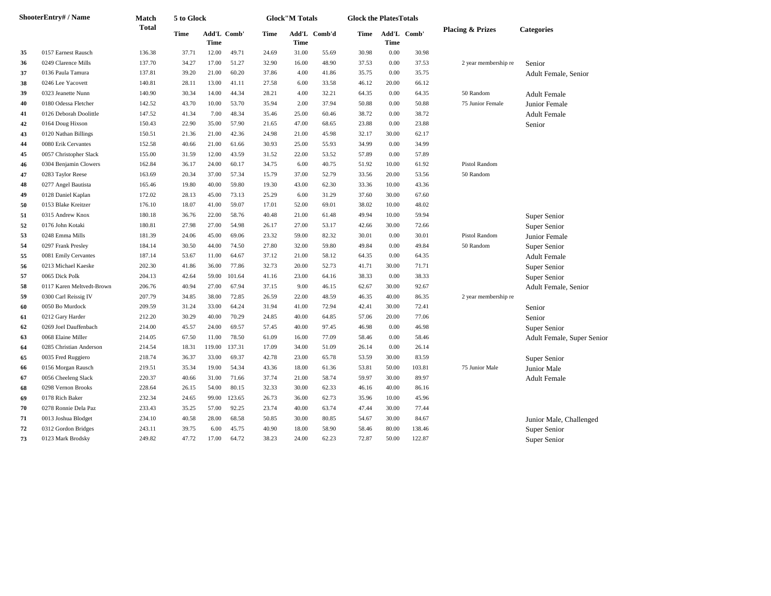|    | <b>ShooterEntry#/Name</b> | Match        | 5 to Glock |                            |        |       | <b>Glock"M Totals</b> |              |       | <b>Glock the PlatesTotals</b>   |        |                             |                            |  |
|----|---------------------------|--------------|------------|----------------------------|--------|-------|-----------------------|--------------|-------|---------------------------------|--------|-----------------------------|----------------------------|--|
|    |                           | <b>Total</b> | Time       | Add'L Comb'<br><b>Time</b> |        | Time  | <b>Time</b>           | Add'L Comb'd |       | Time Add'L Comb'<br><b>Time</b> |        | <b>Placing &amp; Prizes</b> | <b>Categories</b>          |  |
| 35 | 0157 Earnest Rausch       | 136.38       | 37.71      | 12.00                      | 49.71  | 24.69 | 31.00                 | 55.69        | 30.98 | 0.00                            | 30.98  |                             |                            |  |
| 36 | 0249 Clarence Mills       | 137.70       | 34.27      | 17.00                      | 51.27  | 32.90 | 16.00                 | 48.90        | 37.53 | 0.00                            | 37.53  | 2 year membership re        | Senior                     |  |
| 37 | 0136 Paula Tamura         | 137.81       | 39.20      | 21.00                      | 60.20  | 37.86 | 4.00                  | 41.86        | 35.75 | 0.00                            | 35.75  |                             | Adult Female, Senior       |  |
| 38 | 0246 Lee Yacovett         | 140.81       | 28.11      | 13.00                      | 41.11  | 27.58 | 6.00                  | 33.58        | 46.12 | 20.00                           | 66.12  |                             |                            |  |
| 39 | 0323 Jeanette Nunn        | 140.90       | 30.34      | 14.00                      | 44.34  | 28.21 | 4.00                  | 32.21        | 64.35 | 0.00                            | 64.35  | 50 Random                   | <b>Adult Female</b>        |  |
| 40 | 0180 Odessa Fletcher      | 142.52       | 43.70      | 10.00                      | 53.70  | 35.94 | 2.00                  | 37.94        | 50.88 | 0.00                            | 50.88  | 75 Junior Female            | Junior Female              |  |
| 41 | 0126 Deborah Doolittle    | 147.52       | 41.34      | 7.00                       | 48.34  | 35.46 | 25.00                 | 60.46        | 38.72 | 0.00                            | 38.72  |                             | <b>Adult Female</b>        |  |
| 42 | 0164 Doug Hixson          | 150.43       | 22.90      | 35.00                      | 57.90  | 21.65 | 47.00                 | 68.65        | 23.88 | 0.00                            | 23.88  |                             | Senior                     |  |
| 43 | 0120 Nathan Billings      | 150.51       | 21.36      | 21.00                      | 42.36  | 24.98 | 21.00                 | 45.98        | 32.17 | 30.00                           | 62.17  |                             |                            |  |
| 44 | 0080 Erik Cervantes       | 152.58       | 40.66      | 21.00                      | 61.66  | 30.93 | 25.00                 | 55.93        | 34.99 | 0.00                            | 34.99  |                             |                            |  |
| 45 | 0057 Christopher Slack    | 155.00       | 31.59      | 12.00                      | 43.59  | 31.52 | 22.00                 | 53.52        | 57.89 | 0.00                            | 57.89  |                             |                            |  |
| 46 | 0304 Benjamin Clowers     | 162.84       | 36.17      | 24.00                      | 60.17  | 34.75 | 6.00                  | 40.75        | 51.92 | 10.00                           | 61.92  | Pistol Random               |                            |  |
| 47 | 0283 Taylor Reese         | 163.69       | 20.34      | 37.00                      | 57.34  | 15.79 | 37.00                 | 52.79        | 33.56 | 20.00                           | 53.56  | 50 Random                   |                            |  |
| 48 | 0277 Angel Bautista       | 165.46       | 19.80      | 40.00                      | 59.80  | 19.30 | 43.00                 | 62.30        | 33.36 | 10.00                           | 43.36  |                             |                            |  |
| 49 | 0128 Daniel Kaplan        | 172.02       | 28.13      | 45.00                      | 73.13  | 25.29 | 6.00                  | 31.29        | 37.60 | 30.00                           | 67.60  |                             |                            |  |
| 50 | 0153 Blake Kreitzer       | 176.10       | 18.07      | 41.00                      | 59.07  | 17.01 | 52.00                 | 69.01        | 38.02 | 10.00                           | 48.02  |                             |                            |  |
| 51 | 0315 Andrew Knox          | 180.18       | 36.76      | 22.00                      | 58.76  | 40.48 | 21.00                 | 61.48        | 49.94 | 10.00                           | 59.94  |                             | Super Senior               |  |
| 52 | 0176 John Kotaki          | 180.81       | 27.98      | 27.00                      | 54.98  | 26.17 | 27.00                 | 53.17        | 42.66 | 30.00                           | 72.66  |                             | Super Senior               |  |
| 53 | 0248 Emma Mills           | 181.39       | 24.06      | 45.00                      | 69.06  | 23.32 | 59.00                 | 82.32        | 30.01 | 0.00                            | 30.01  | Pistol Random               | Junior Female              |  |
| 54 | 0297 Frank Presley        | 184.14       | 30.50      | 44.00                      | 74.50  | 27.80 | 32.00                 | 59.80        | 49.84 | 0.00                            | 49.84  | 50 Random                   | Super Senior               |  |
| 55 | 0081 Emily Cervantes      | 187.14       | 53.67      | 11.00                      | 64.67  | 37.12 | 21.00                 | 58.12        | 64.35 | 0.00                            | 64.35  |                             | <b>Adult Female</b>        |  |
| 56 | 0213 Michael Kaeske       | 202.30       | 41.86      | 36.00                      | 77.86  | 32.73 | 20.00                 | 52.73        | 41.71 | 30.00                           | 71.71  |                             | Super Senior               |  |
| 57 | 0065 Dick Polk            | 204.13       | 42.64      | 59.00                      | 101.64 | 41.16 | 23.00                 | 64.16        | 38.33 | 0.00                            | 38.33  |                             | Super Senior               |  |
| 58 | 0117 Karen Meltvedt-Brown | 206.76       | 40.94      | 27.00                      | 67.94  | 37.15 | 9.00                  | 46.15        | 62.67 | 30.00                           | 92.67  |                             | Adult Female, Senior       |  |
| 59 | 0300 Carl Reissig IV      | 207.79       | 34.85      | 38.00                      | 72.85  | 26.59 | 22.00                 | 48.59        | 46.35 | 40.00                           | 86.35  | 2 year membership re        |                            |  |
| 60 | 0050 Bo Murdock           | 209.59       | 31.24      | 33.00                      | 64.24  | 31.94 | 41.00                 | 72.94        | 42.41 | 30.00                           | 72.41  |                             | Senior                     |  |
| 61 | 0212 Gary Harder          | 212.20       | 30.29      | 40.00                      | 70.29  | 24.85 | 40.00                 | 64.85        | 57.06 | 20.00                           | 77.06  |                             | Senior                     |  |
| 62 | 0269 Joel Dauffenbach     | 214.00       | 45.57      | 24.00                      | 69.57  | 57.45 | 40.00                 | 97.45        | 46.98 | 0.00                            | 46.98  |                             | Super Senior               |  |
| 63 | 0068 Elaine Miller        | 214.05       | 67.50      | 11.00                      | 78.50  | 61.09 | 16.00                 | 77.09        | 58.46 | 0.00                            | 58.46  |                             | Adult Female, Super Senior |  |
| 64 | 0285 Christian Anderson   | 214.54       | 18.31      | 119.00                     | 137.31 | 17.09 | 34.00                 | 51.09        | 26.14 | 0.00                            | 26.14  |                             |                            |  |
| 65 | 0035 Fred Ruggiero        | 218.74       | 36.37      | 33.00                      | 69.37  | 42.78 | 23.00                 | 65.78        | 53.59 | 30.00                           | 83.59  |                             | Super Senior               |  |
| 66 | 0156 Morgan Rausch        | 219.51       | 35.34      | 19.00                      | 54.34  | 43.36 | 18.00                 | 61.36        | 53.81 | 50.00                           | 103.81 | 75 Junior Male              | Junior Male                |  |
| 67 | 0056 Cheeleng Slack       | 220.37       | 40.66      | 31.00                      | 71.66  | 37.74 | 21.00                 | 58.74        | 59.97 | 30.00                           | 89.97  |                             | <b>Adult Female</b>        |  |
| 68 | 0298 Vernon Brooks        | 228.64       | 26.15      | 54.00                      | 80.15  | 32.33 | 30.00                 | 62.33        | 46.16 | 40.00                           | 86.16  |                             |                            |  |
| 69 | 0178 Rich Baker           | 232.34       | 24.65      | 99.00                      | 123.65 | 26.73 | 36.00                 | 62.73        | 35.96 | 10.00                           | 45.96  |                             |                            |  |
| 70 | 0278 Ronnie Dela Paz      | 233.43       | 35.25      | 57.00                      | 92.25  | 23.74 | 40.00                 | 63.74        | 47.44 | 30.00                           | 77.44  |                             |                            |  |
| 71 | 0013 Joshua Blodget       | 234.10       | 40.58      | 28.00                      | 68.58  | 50.85 | 30.00                 | 80.85        | 54.67 | 30.00                           | 84.67  |                             | Junior Male, Challenged    |  |
| 72 | 0312 Gordon Bridges       | 243.11       | 39.75      | 6.00                       | 45.75  | 40.90 | 18.00                 | 58.90        | 58.46 | 80.00                           | 138.46 |                             | Super Senior               |  |
| 73 | 0123 Mark Brodsky         | 249.82       | 47.72      | 17.00                      | 64.72  | 38.23 | 24.00                 | 62.23        | 72.87 | 50.00                           | 122.87 |                             | Super Senior               |  |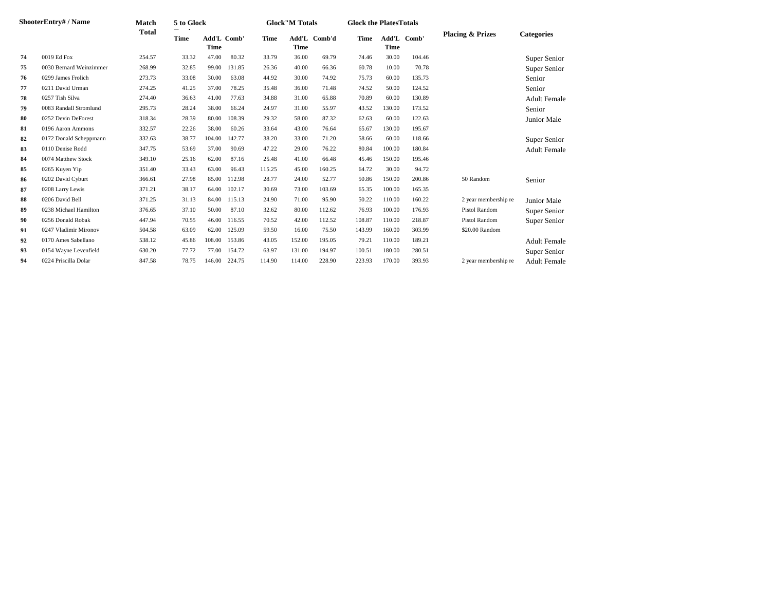| ShooterEntry# / Name |                         | <b>Match</b> | 5 to Glock |                            |        | <b>Glock</b> "M Totals |             |              |        | <b>Glock the PlatesTotals</b> |             |                             |                     |
|----------------------|-------------------------|--------------|------------|----------------------------|--------|------------------------|-------------|--------------|--------|-------------------------------|-------------|-----------------------------|---------------------|
|                      |                         | <b>Total</b> | Time       | Add'L Comb'<br><b>Time</b> |        | Time                   | <b>Time</b> | Add'L Comb'd | Time   | Time                          | Add'L Comb' | <b>Placing &amp; Prizes</b> | <b>Categories</b>   |
| 74                   | 0019 Ed Fox             | 254.57       | 33.32      | 47.00                      | 80.32  | 33.79                  | 36.00       | 69.79        | 74.46  | 30.00                         | 104.46      |                             | Super Senior        |
| 75                   | 0030 Bernard Weinzimmer | 268.99       | 32.85      | 99.00                      | 131.85 | 26.36                  | 40.00       | 66.36        | 60.78  | 10.00                         | 70.78       |                             | Super Senior        |
| 76                   | 0299 James Frolich      | 273.73       | 33.08      | 30.00                      | 63.08  | 44.92                  | 30.00       | 74.92        | 75.73  | 60.00                         | 135.73      |                             | Senior              |
| 77                   | 0211 David Urman        | 274.25       | 41.25      | 37.00                      | 78.25  | 35.48                  | 36.00       | 71.48        | 74.52  | 50.00                         | 124.52      |                             | Senior              |
| 78                   | 0257 Tish Silva         | 274.40       | 36.63      | 41.00                      | 77.63  | 34.88                  | 31.00       | 65.88        | 70.89  | 60.00                         | 130.89      |                             | <b>Adult Female</b> |
| 79                   | 0083 Randall Stromlund  | 295.73       | 28.24      | 38.00                      | 66.24  | 24.97                  | 31.00       | 55.97        | 43.52  | 130.00                        | 173.52      |                             | Senior              |
| 80                   | 0252 Devin DeForest     | 318.34       | 28.39      | 80.00                      | 108.39 | 29.32                  | 58.00       | 87.32        | 62.63  | 60.00                         | 122.63      |                             | Junior Male         |
| 81                   | 0196 Aaron Ammons       | 332.57       | 22.26      | 38.00                      | 60.26  | 33.64                  | 43.00       | 76.64        | 65.67  | 130.00                        | 195.67      |                             |                     |
| 82                   | 0172 Donald Scheppmann  | 332.63       | 38.77      | 104.00                     | 142.77 | 38.20                  | 33.00       | 71.20        | 58.66  | 60.00                         | 118.66      |                             | Super Senior        |
| 83                   | 0110 Denise Rodd        | 347.75       | 53.69      | 37.00                      | 90.69  | 47.22                  | 29.00       | 76.22        | 80.84  | 100.00                        | 180.84      |                             | <b>Adult Female</b> |
| 84                   | 0074 Matthew Stock      | 349.10       | 25.16      | 62.00                      | 87.16  | 25.48                  | 41.00       | 66.48        | 45.46  | 150.00                        | 195.46      |                             |                     |
| 85                   | 0265 Kuyen Yip          | 351.40       | 33.43      | 63.00                      | 96.43  | 115.25                 | 45.00       | 160.25       | 64.72  | 30.00                         | 94.72       |                             |                     |
| 86                   | 0202 David Cyburt       | 366.61       | 27.98      | 85.00                      | 112.98 | 28.77                  | 24.00       | 52.77        | 50.86  | 150.00                        | 200.86      | 50 Random                   | Senior              |
| 87                   | 0208 Larry Lewis        | 371.21       | 38.17      | 64.00                      | 102.17 | 30.69                  | 73.00       | 103.69       | 65.35  | 100.00                        | 165.35      |                             |                     |
| 88                   | 0206 David Bell         | 371.25       | 31.13      | 84.00                      | 115.13 | 24.90                  | 71.00       | 95.90        | 50.22  | 110.00                        | 160.22      | 2 year membership re        | Junior Male         |
| 89                   | 0238 Michael Hamilton   | 376.65       | 37.10      | 50.00                      | 87.10  | 32.62                  | 80.00       | 112.62       | 76.93  | 100.00                        | 176.93      | Pistol Random               | Super Senior        |
| 90                   | 0256 Donald Robak       | 447.94       | 70.55      | 46.00                      | 116.55 | 70.52                  | 42.00       | 112.52       | 108.87 | 110.00                        | 218.87      | Pistol Random               | Super Senior        |
| 91                   | 0247 Vladimir Mironov   | 504.58       | 63.09      | 62.00                      | 125.09 | 59.50                  | 16.00       | 75.50        | 143.99 | 160.00                        | 303.99      | \$20.00 Random              |                     |
| 92                   | 0170 Ames Sabellano     | 538.12       | 45.86      | 108.00                     | 153.86 | 43.05                  | 152.00      | 195.05       | 79.21  | 110.00                        | 189.21      |                             | <b>Adult Female</b> |
| 93                   | 0154 Wayne Levenfield   | 630.20       | 77.72      | 77.00                      | 154.72 | 63.97                  | 131.00      | 194.97       | 100.51 | 180.00                        | 280.51      |                             | Super Senior        |
| 94                   | 0224 Priscilla Dolar    | 847.58       | 78.75      | 146.00                     | 224.75 | 114.90                 | 114.00      | 228.90       | 223.93 | 170.00                        | 393.93      | 2 year membership re        | <b>Adult Female</b> |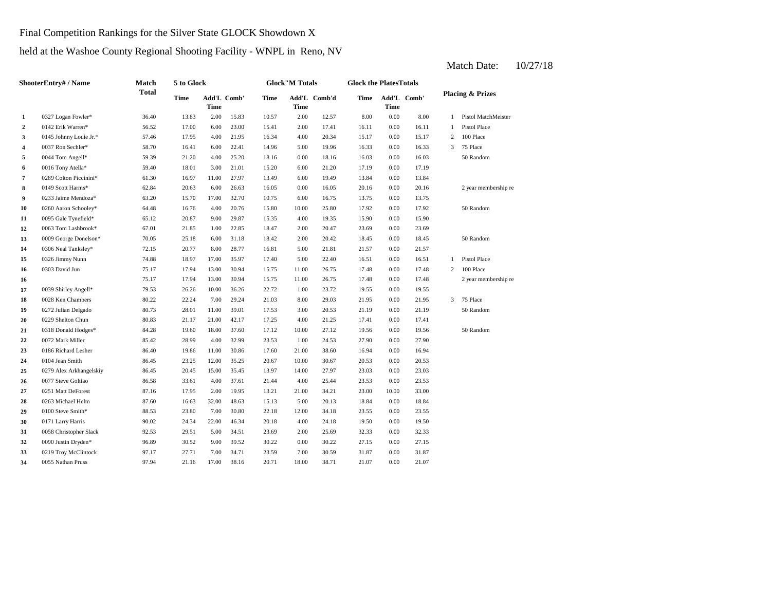Final Competition Rankings for the Silver State GLOCK Showdown X

held at the Washoe County Regional Shooting Facility - WNPL in Reno, NV

#### **2** 0142 Erik Warren\* 56.52 17.00 6.00 23.00 15.41 2.00 17.41 16.11 **3** 4.00 **145 Johnny Louie Jr.\*** 57.46 17.95 4.00 21.95 16.34 4.00 20.34 15.17 **4** 0037 Ron Sechler\* 58.70 16.41 6.00 22.41 14.96 5.00 19.96 16.33 **5** 0.00 16.03 0044 Tom Angell\* 59.39 21.20 4.00 25.20 **6** 0016 Tony Atella\* 59.40 18.01 3.00 21.01 15.20 6.00 21.20 17.19 **7** 0289 Colton Piccinini\* 61.30 16.97 11.00 27.97 13.49 6.00 19.49 13.84 **8** 0149 Scott Harms\* 62.84 20.63 6.00 26.63 16.05 0.00 16.05 20.16 **9** 0233 Jaime Mendoza\* 63.20 15.70 17.00 32.70 10.75 6.00 16.75 13.75 **10** 0260 Aaron Schooley\* 64.48 16.76 4.00 20.76 15.80 10.00 25.80 17.92 0.00 **11** 0095 Gale Tynefield\* 65.12 20.87 9.00 29.87 15.35 4.00 19.35 15.90 0.00 **12** 0063 Tom Lashbrook\* 67.01 21.85 1.00 22.85 18.47 2.00 20.47 23.69 0.00 23.69 **13** 2.00 18.45 0009 George Donelson\* 70.05 25.18 6.00 31.18 18.42 **14** 5.00 21.57 0306 Neal Tanksley\* 72.15 20.77 8.00 28.77 16.81 **15** 5.00 16.51 0326 Jimmy Nunn 74.88 18.97 17.00 35.97 17.40 22.40 **16** 0303 David Jun 75.17 17.94 13.00 30.94 15.75 11.00 26.75 17.48 **16** 11.00 26.75 17.48 **17** 1.00 19.55 0039 Shirley Angell\* 79.53 26.26 10.00 36.26 22.72 **18** 8.00 21.95 0028 Ken Chambers 80.22 22.24 7.00 29.24 21.03 29.03 **19** 3.00 21.19 0272 Julian Delgado 80.73 28.01 11.00 39.01 17.53 **20** 0229 Shelton Chun 80.83 21.17 21.00 42.17 17.25 4.00 21.25 17.41 **21** 0318 Donald Hodges\* 84.28 19.60 18.00 37.60 17.12 10.00 27.12 19.56 **22** 0072 Mark Miller **28.42** 28.99 4.00 32.99 23.53 1.00 24.53 27.90 **23** 21.00 16.94 0186 Richard Lesher 86.40 19.86 11.00 30.86 17.60 38.60 0.00 **24** 10.00 **20.53 23.25 23.25 23.25 23.25 20.67 20.67 20.53 25** 14.00 23.03 0279 Alex Arkhangelskiy 86.45 20.45 15.00 35.45 13.97 **26** 0077 Steve Goltiao 86.58 33.61 4.00 37.61 21.44 4.00 25.44 23.53 **27** 0251 Matt DeForest 87.16 17.95 2.00 19.95 13.21 21.00 34.21 23.00 10.00 **28** 5.00 18.84 0263 Michael Helm 87.60 16.63 32.00 48.63 15.13 20.13 0.00 18.84 **29** 0100 Steve Smith\* 88.53 23.80 7.00 30.80 22.18 12.00 34.18 23.55 **30** 171 Larry Harris **19.50** 90.02 24.34 22.00 46.34 20.18 4.00 24.18 19.50 **31** 0058 Christopher Slack 92.53 29.51 5.00 34.51 23.69 2.00 25.69 32.33 0.00 **32** 0.00 27.15 0090 Justin Dryden\* 96.89 30.52 9.00 39.52 30.22 30.22 0.00 27.15 **33** 7.00 31.87 0219 Troy McClintock 97.17 27.71 7.00 34.71 23.59 **34** 0055 Nathan Pruss **18.00 21.07** 17.00 21.16 17.00 23.16 20.71 18.00 38.71 21.07 0.00 21.07 30.59 0.00 31.87 0055 Nathan Pruss 97.94 21.16 17.00 38.16 20.71 18.00 38.71 32.33 0.00 19.50 34.18 0.00 23.55 33.00 0.00 23.53 27.97 0.00 23.03 16.94 0104 Jean Smith 86.45 23.25 12.00 35.25 20.67 10.00 30.67 20.53 0.00 20.53 0.00 27.90 0.00 19.56 50 Random 0072 Mark Miller **85.42** 28.99 4.00 32.99 23.53 1.00 24.53 21.25 0.00 17.41 20.53 0.00 21.19 50 Random 0.00 21.95 3 75 Place 23.72 0.00 19.55 26.75 17.48 0.00 17.48 2 year membership re 26.75 0.00 17.48 2 100 Place 75.17 17.94 13.00 30.94 15.75 0.00 16.51 1 Pistol Place 21.81 0.00 21.57 20.42 0.00 18.45 50 Random 15.90 17.92 50 Random 0.00 13.75  $0.00$   $20.16$   $2$  year membership re 19.49 0.00 13.84 15.20 6.00 21.20 17.19 0.00 17.19 18.16 0.00 18.16 16.03 0.00 16.03 50 Random 19.96 16.33 0.00 16.33 3 75 Place 16.34 4.00 20.34 15.17 0.00 15.17 2 100 Place 17.41 16.11 0.00 16.11 1 Pistol Place 12.57 8.00 0.00 8.00 1 Pistol MatchMeister **Add'L Comb' Time 1** 0327 Logan Fowler\* 36.40 13.83 2.00 15.83 10.57 2.00 **Add'L Comb' Time Time Add'L Comb'd Time Time ShooterEntry# / Name Match Total 5 to Glock Time Glock"M Totals Glock the PlatesTotals Placing & Prizes Time**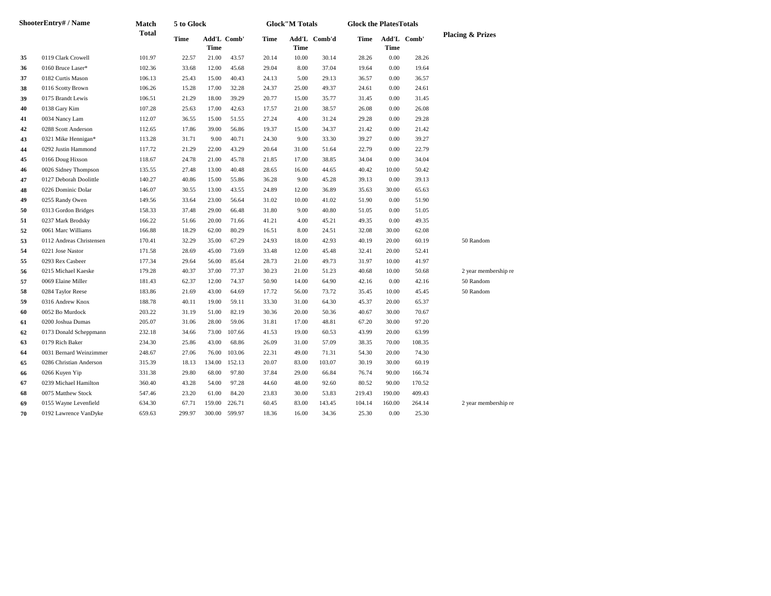| <b>ShooterEntry#/Name</b> |                          | Match<br>Total | 5 to Glock |                            |        | <b>Glock"M Totals</b> |             |              | <b>Glock the PlatesTotals</b> |                            |        |                             |  |  |
|---------------------------|--------------------------|----------------|------------|----------------------------|--------|-----------------------|-------------|--------------|-------------------------------|----------------------------|--------|-----------------------------|--|--|
|                           |                          |                | Time       | Add'L Comb'<br><b>Time</b> |        | Time                  | <b>Time</b> | Add'L Comb'd | Time                          | Add'L Comb'<br><b>Time</b> |        | <b>Placing &amp; Prizes</b> |  |  |
| 35                        | 0119 Clark Crowell       | 101.97         | 22.57      | 21.00                      | 43.57  | 20.14                 | 10.00       | 30.14        | 28.26                         | 0.00                       | 28.26  |                             |  |  |
| 36                        | 0160 Bruce Laser*        | 102.36         | 33.68      | 12.00                      | 45.68  | 29.04                 | 8.00        | 37.04        | 19.64                         | 0.00                       | 19.64  |                             |  |  |
| 37                        | 0182 Curtis Mason        | 106.13         | 25.43      | 15.00                      | 40.43  | 24.13                 | 5.00        | 29.13        | 36.57                         | 0.00                       | 36.57  |                             |  |  |
| 38                        | 0116 Scotty Brown        | 106.26         | 15.28      | 17.00                      | 32.28  | 24.37                 | 25.00       | 49.37        | 24.61                         | 0.00                       | 24.61  |                             |  |  |
| 39                        | 0175 Brandt Lewis        | 106.51         | 21.29      | 18.00                      | 39.29  | 20.77                 | 15.00       | 35.77        | 31.45                         | 0.00                       | 31.45  |                             |  |  |
| 40                        | 0138 Gary Kim            | 107.28         | 25.63      | 17.00                      | 42.63  | 17.57                 | 21.00       | 38.57        | 26.08                         | 0.00                       | 26.08  |                             |  |  |
| 41                        | 0034 Nancy Lam           | 112.07         | 36.55      | 15.00                      | 51.55  | 27.24                 | 4.00        | 31.24        | 29.28                         | 0.00                       | 29.28  |                             |  |  |
| 42                        | 0288 Scott Anderson      | 112.65         | 17.86      | 39.00                      | 56.86  | 19.37                 | 15.00       | 34.37        | 21.42                         | 0.00                       | 21.42  |                             |  |  |
| 43                        | 0321 Mike Hennigan*      | 113.28         | 31.71      | 9.00                       | 40.71  | 24.30                 | 9.00        | 33.30        | 39.27                         | 0.00                       | 39.27  |                             |  |  |
| 44                        | 0292 Justin Hammond      | 117.72         | 21.29      | 22.00                      | 43.29  | 20.64                 | 31.00       | 51.64        | 22.79                         | 0.00                       | 22.79  |                             |  |  |
| 45                        | 0166 Doug Hixson         | 118.67         | 24.78      | 21.00                      | 45.78  | 21.85                 | 17.00       | 38.85        | 34.04                         | 0.00                       | 34.04  |                             |  |  |
| 46                        | 0026 Sidney Thompson     | 135.55         | 27.48      | 13.00                      | 40.48  | 28.65                 | 16.00       | 44.65        | 40.42                         | 10.00                      | 50.42  |                             |  |  |
| 47                        | 0127 Deborah Doolittle   | 140.27         | 40.86      | 15.00                      | 55.86  | 36.28                 | 9.00        | 45.28        | 39.13                         | 0.00                       | 39.13  |                             |  |  |
| 48                        | 0226 Dominic Dolar       | 146.07         | 30.55      | 13.00                      | 43.55  | 24.89                 | 12.00       | 36.89        | 35.63                         | 30.00                      | 65.63  |                             |  |  |
| 49                        | 0255 Randy Owen          | 149.56         | 33.64      | 23.00                      | 56.64  | 31.02                 | 10.00       | 41.02        | 51.90                         | 0.00                       | 51.90  |                             |  |  |
| 50                        | 0313 Gordon Bridges      | 158.33         | 37.48      | 29.00                      | 66.48  | 31.80                 | 9.00        | 40.80        | 51.05                         | 0.00                       | 51.05  |                             |  |  |
| 51                        | 0237 Mark Brodsky        | 166.22         | 51.66      | 20.00                      | 71.66  | 41.21                 | 4.00        | 45.21        | 49.35                         | 0.00                       | 49.35  |                             |  |  |
| 52                        | 0061 Marc Williams       | 166.88         | 18.29      | 62.00                      | 80.29  | 16.51                 | 8.00        | 24.51        | 32.08                         | 30.00                      | 62.08  |                             |  |  |
| 53                        | 0112 Andreas Christensen | 170.41         | 32.29      | 35.00                      | 67.29  | 24.93                 | 18.00       | 42.93        | 40.19                         | 20.00                      | 60.19  | 50 Random                   |  |  |
| 54                        | 0221 Jose Nastor         | 171.58         | 28.69      | 45.00                      | 73.69  | 33.48                 | 12.00       | 45.48        | 32.41                         | 20.00                      | 52.41  |                             |  |  |
| 55                        | 0293 Rex Casbeer         | 177.34         | 29.64      | 56.00                      | 85.64  | 28.73                 | 21.00       | 49.73        | 31.97                         | 10.00                      | 41.97  |                             |  |  |
| 56                        | 0215 Michael Kaeske      | 179.28         | 40.37      | 37.00                      | 77.37  | 30.23                 | 21.00       | 51.23        | 40.68                         | 10.00                      | 50.68  | 2 year membership re        |  |  |
| 57                        | 0069 Elaine Miller       | 181.43         | 62.37      | 12.00                      | 74.37  | 50.90                 | 14.00       | 64.90        | 42.16                         | 0.00                       | 42.16  | 50 Random                   |  |  |
| 58                        | 0284 Taylor Reese        | 183.86         | 21.69      | 43.00                      | 64.69  | 17.72                 | 56.00       | 73.72        | 35.45                         | 10.00                      | 45.45  | 50 Random                   |  |  |
| 59                        | 0316 Andrew Knox         | 188.78         | 40.11      | 19.00                      | 59.11  | 33.30                 | 31.00       | 64.30        | 45.37                         | 20.00                      | 65.37  |                             |  |  |
| 60                        | 0052 Bo Murdock          | 203.22         | 31.19      | 51.00                      | 82.19  | 30.36                 | 20.00       | 50.36        | 40.67                         | 30.00                      | 70.67  |                             |  |  |
| 61                        | 0200 Joshua Dumas        | 205.07         | 31.06      | 28.00                      | 59.06  | 31.81                 | 17.00       | 48.81        | 67.20                         | 30.00                      | 97.20  |                             |  |  |
| 62                        | 0173 Donald Scheppmann   | 232.18         | 34.66      | 73.00                      | 107.66 | 41.53                 | 19.00       | 60.53        | 43.99                         | 20.00                      | 63.99  |                             |  |  |
| 63                        | 0179 Rich Baker          | 234.30         | 25.86      | 43.00                      | 68.86  | 26.09                 | 31.00       | 57.09        | 38.35                         | 70.00                      | 108.35 |                             |  |  |
| 64                        | 0031 Bernard Weinzimmer  | 248.67         | 27.06      | 76.00                      | 103.06 | 22.31                 | 49.00       | 71.31        | 54.30                         | 20.00                      | 74.30  |                             |  |  |
| 65                        | 0286 Christian Anderson  | 315.39         | 18.13      | 134.00                     | 152.13 | 20.07                 | 83.00       | 103.07       | 30.19                         | 30.00                      | 60.19  |                             |  |  |
| 66                        | 0266 Kuyen Yip           | 331.38         | 29.80      | 68.00                      | 97.80  | 37.84                 | 29.00       | 66.84        | 76.74                         | 90.00                      | 166.74 |                             |  |  |
| 67                        | 0239 Michael Hamilton    | 360.40         | 43.28      | 54.00                      | 97.28  | 44.60                 | 48.00       | 92.60        | 80.52                         | 90.00                      | 170.52 |                             |  |  |
| 68                        | 0075 Matthew Stock       | 547.46         | 23.20      | 61.00                      | 84.20  | 23.83                 | 30.00       | 53.83        | 219.43                        | 190.00                     | 409.43 |                             |  |  |
| 69                        | 0155 Wayne Levenfield    | 634.30         | 67.71      | 159.00                     | 226.71 | 60.45                 | 83.00       | 143.45       | 104.14                        | 160.00                     | 264.14 | 2 year membership re        |  |  |
| 70                        | 0192 Lawrence VanDyke    | 659.63         | 299.97     | 300.00                     | 599.97 | 18.36                 | 16.00       | 34.36        | 25.30                         | 0.00                       | 25.30  |                             |  |  |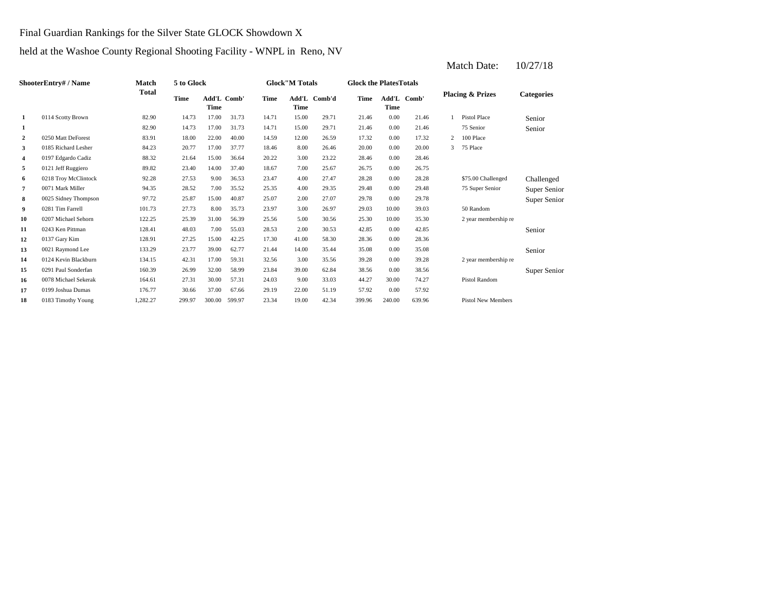Final Guardian Rankings for the Silver State GLOCK Showdown X

# held at the Washoe County Regional Shooting Facility - WNPL in Reno, NV

| <b>ShooterEntry# / Name</b> |                      | <b>Match</b> | 5 to Glock<br>Total |                            |        |       | <b>Glock</b> "M Totals |              | <b>Glock the Plates Totals</b> |        |             |   |                             |                   |
|-----------------------------|----------------------|--------------|---------------------|----------------------------|--------|-------|------------------------|--------------|--------------------------------|--------|-------------|---|-----------------------------|-------------------|
|                             |                      |              | Time                | Add'L Comb'<br><b>Time</b> |        | Time  | <b>Time</b>            | Add'L Comb'd | Time                           | Time   | Add'L Comb' |   | <b>Placing &amp; Prizes</b> | <b>Categories</b> |
| 1                           | 0114 Scotty Brown    | 82.90        | 14.73               | 17.00                      | 31.73  | 14.71 | 15.00                  | 29.71        | 21.46                          | 0.00   | 21.46       |   | Pistol Place                | Senior            |
| 1                           |                      | 82.90        | 14.73               | 17.00                      | 31.73  | 14.71 | 15.00                  | 29.71        | 21.46                          | 0.00   | 21.46       |   | 75 Senior                   | Senior            |
| $\mathbf{2}$                | 0250 Matt DeForest   | 83.91        | 18.00               | 22.00                      | 40.00  | 14.59 | 12.00                  | 26.59        | 17.32                          | 0.00   | 17.32       | 2 | 100 Place                   |                   |
| 3                           | 0185 Richard Lesher  | 84.23        | 20.77               | 17.00                      | 37.77  | 18.46 | 8.00                   | 26.46        | 20.00                          | 0.00   | 20.00       | 3 | 75 Place                    |                   |
| 4                           | 0197 Edgardo Cadiz   | 88.32        | 21.64               | 15.00                      | 36.64  | 20.22 | 3.00                   | 23.22        | 28.46                          | 0.00   | 28.46       |   |                             |                   |
| 5                           | 0121 Jeff Ruggiero   | 89.82        | 23.40               | 14.00                      | 37.40  | 18.67 | 7.00                   | 25.67        | 26.75                          | 0.00   | 26.75       |   |                             |                   |
| 6                           | 0218 Troy McClintock | 92.28        | 27.53               | 9.00                       | 36.53  | 23.47 | 4.00                   | 27.47        | 28.28                          | 0.00   | 28.28       |   | \$75,00 Challenged          | Challenged        |
| 7                           | 0071 Mark Miller     | 94.35        | 28.52               | 7.00                       | 35.52  | 25.35 | 4.00                   | 29.35        | 29.48                          | 0.00   | 29.48       |   | 75 Super Senior             | Super Senior      |
| 8                           | 0025 Sidney Thompson | 97.72        | 25.87               | 15.00                      | 40.87  | 25.07 | 2.00                   | 27.07        | 29.78                          | 0.00   | 29.78       |   |                             | Super Senior      |
| 9                           | 0281 Tim Farrell     | 101.73       | 27.73               | 8.00                       | 35.73  | 23.97 | 3.00                   | 26.97        | 29.03                          | 10.00  | 39.03       |   | 50 Random                   |                   |
| 10                          | 0207 Michael Sehorn  | 122.25       | 25.39               | 31.00                      | 56.39  | 25.56 | 5.00                   | 30.56        | 25.30                          | 10.00  | 35.30       |   | 2 year membership re        |                   |
| 11                          | 0243 Ken Pittman     | 128.41       | 48.03               | 7.00                       | 55.03  | 28.53 | 2.00                   | 30.53        | 42.85                          | 0.00   | 42.85       |   |                             | Senior            |
| 12                          | 0137 Gary Kim        | 128.91       | 27.25               | 15.00                      | 42.25  | 17.30 | 41.00                  | 58.30        | 28.36                          | 0.00   | 28.36       |   |                             |                   |
| 13                          | 0021 Raymond Lee     | 133.29       | 23.77               | 39.00                      | 62.77  | 21.44 | 14.00                  | 35.44        | 35.08                          | 0.00   | 35.08       |   |                             | Senior            |
| 14                          | 0124 Kevin Blackburn | 134.15       | 42.31               | 17.00                      | 59.31  | 32.56 | 3.00                   | 35.56        | 39.28                          | 0.00   | 39.28       |   | 2 year membership re        |                   |
| 15                          | 0291 Paul Sonderfan  | 160.39       | 26.99               | 32.00                      | 58.99  | 23.84 | 39.00                  | 62.84        | 38.56                          | 0.00   | 38.56       |   |                             | Super Senior      |
| 16                          | 0078 Michael Sekerak | 164.61       | 27.31               | 30.00                      | 57.31  | 24.03 | 9.00                   | 33.03        | 44.27                          | 30.00  | 74.27       |   | <b>Pistol Random</b>        |                   |
| 17                          | 0199 Joshua Dumas    | 176.77       | 30.66               | 37.00                      | 67.66  | 29.19 | 22.00                  | 51.19        | 57.92                          | 0.00   | 57.92       |   |                             |                   |
| 18                          | 0183 Timothy Young   | 1.282.27     | 299.97              | 300.00                     | 599.97 | 23.34 | 19.00                  | 42.34        | 399.96                         | 240.00 | 639.96      |   | <b>Pistol New Members</b>   |                   |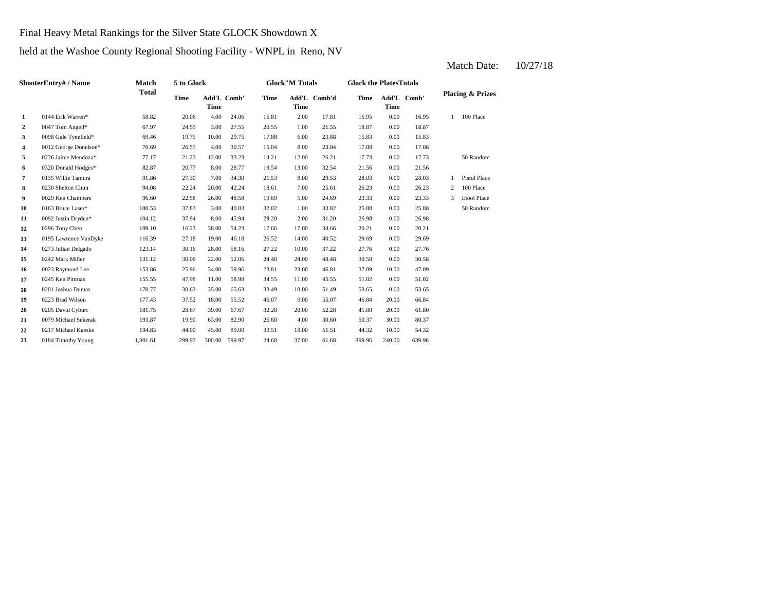Final Heavy Metal Rankings for the Silver State GLOCK Showdown X

held at the Washoe County Regional Shooting Facility - WNPL in Reno, NV

#### **2** 0047 Tom Angell\* 67.97 24.55 3.00 27.55 20.55 1.00 21.55 18.87 **3** 6.00 15.83 0.00 15.83 0.00 19.75 10.00 29.75 17.88 6.00 23.88 15.83 0.00 **4** 8.00 17.08 0012 George Donelson\* 70.69 26.57 4.00 30.57 15.04 23.04 0.00 17.08 **5** 12.00 17.73 0236 Jaime Mendoza\* 77.17 21.23 12.00 33.23 14.21 **6** 13.00 21.56 0320 Donald Hodges\* 82.87 20.77 8.00 28.77 19.54 **7** 0135 Willie Tamura **81.86** 27.30 7.00 34.30 21.53 8.00 29.53 28.03 **8** 22.24 20.00 42.24 18.61 7.00 25.61 26.23 **9** 0029 Ken Chambers **96.60** 22.58 26.00 48.58 19.69 5.00 24.69 23.33 **10** 0163 Bruce Laser\* **100.53** 37.83 3.00 40.83 32.82 1.00 33.82 25.88 **11** 2.00 26.98 0092 Justin Dryden\* 104.12 37.94 8.00 45.94 29.20 **12** 0296 Tony Chen 109.10 16.23 38.00 54.23 17.66 17.00 34.66 20.21 **13** 195 Lawrence VanDyke 116.39 27.18 19.00 46.18 26.52 14.00 40.52 29.69 0.00 **14** 10.00 27.76 0273 Julian Delgado 123.14 30.16 28.00 58.16 27.22 37.22 0.00 27.76 **15** 24.00 30.58 0242 Mark Miller 131.12 30.06 22.00 52.06 24.48 **16** 0023 Raymond Lee 153.86 25.96 34.00 59.96 23.81 23.00 46.81 37.09 **17** 0245 Ken Pittman 155.55 47.98 11.00 58.98 34.55 11.00 45.55 51.02 0.00 **18** 0201 Joshua Dumas **170.77** 30.63 35.00 65.63 33.49 18.00 51.49 53.65 0.00 53.65 **19** 9.00 46.84 0223 Brad Wilson 177.43 37.52 18.00 55.52 46.07 **20** 0205 David Cyburt 181.75 28.67 39.00 67.67 32.28 20.00 52.28 41.80 **21** 4.00 50.37 0079 Michael Sekerak 193.87 19.90 63.00 82.90 26.60 30.60 30.00 **22** 0217 Michael Kaeske 194.83 44.00 45.00 89.00 33.51 18.00 51.51 44.32 10.00 54.32 **23** 0184 Timothy Young 1,301.61 299.97 300.00 599.97 24.68 37.00 61.68 399.96 240.00 639.96 80.37 20.00 61.80 55.07 20.00 66.84 51.02 10.00 47.09 48.48 0.00 30.58 29.69 0.00 20.21 31.20 0.00 26.98 33.82 0.00 25.88 50 Random 19.69 5.00 24.69 23.33 0.00 23.33 3 Etool Place 25.61 26.23 0.00 26.23 2 100 Place 0.00 28.03 1 Pistol Place 32.54 0.00 21.56 26.21 0.00 17.73 50 Random 15.83 0.00 18.87 16.95 1 100 Place 24.06 15.81 2.00 17.81 16.95 0.00 **Add'L Comb'd Time Add'L Placing & Prizes Time Add'L Time Time** Add'L Comb' **1** 0144 Erik Warren\* 58.82 20.06 4.00 **ShooterEntry# / Name Match Total 5 to Glock Time Glock"M Totals Glock the PlatesTotals Time** Add'L Comb' **Time**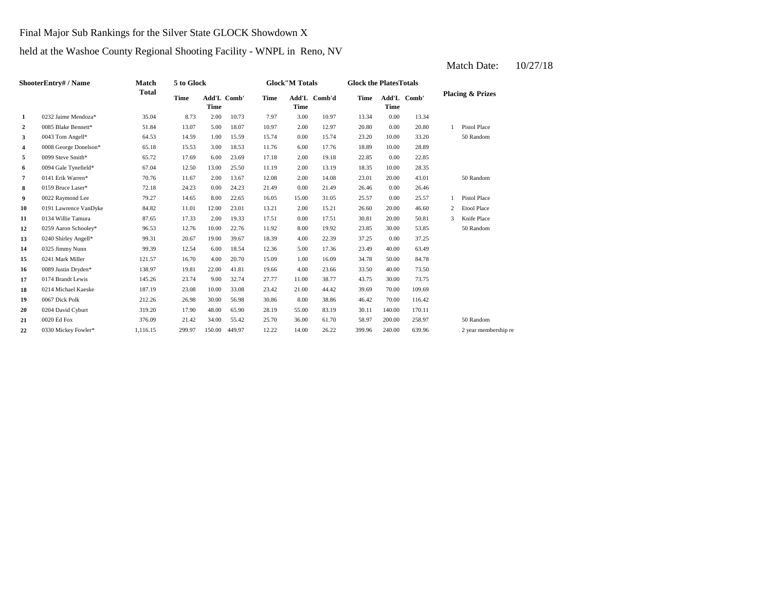### Final Major Sub Rankings for the Silver State GLOCK Showdown X

# held at the Washoe County Regional Shooting Facility - WNPL in Reno, NV

#### **2** 0085 Blake Bennett\* 51.84 13.07 5.00 18.07 10.97 2.00 12.97 20.80 0.00 20.80 **3** 0.043 Tom Angell\* 64.53 14.59 1.00 15.59 15.74 0.00 15.74 23.20 10.00 **4** 0008 George Donelson\* 65.18 15.53 3.00 18.53 11.76 6.00 17.76 18.89 10.00 **5** 0099 Steve Smith\* 65.72 17.69 6.00 23.69 17.18 2.00 19.18 22.85 0.00 22.85 **6** 2.00 18.35 0094 Gale Tynefield\* 67.04 12.50 13.00 25.50 11.19 **7** 2.00 141 Erik Warren\* **70.76** 11.67 2.00 13.67 12.08 2.00 14.08 23.01 **8** 0.00 21.49 **8** 26.46 **9** 0022 Raymond Lee 79.27 14.65 8.00 22.65 16.05 15.00 31.05 25.57 0.00 **10** 0191 Lawrence VanDyke 84.82 11.01 12.00 23.01 13.21 2.00 15.21 26.60 **11** 0134 Willie Tamura **87.65** 17.33 2.00 19.33 17.51 0.00 17.51 30.81 **12** 8.00 23.85 0259 Aaron Schooley\* 96.53 12.76 10.00 22.76 **13** 4.00 37.25 0240 Shirley Angell\* 99.31 20.67 19.00 39.67 **14** 5.00 23.49 0325 Jimmy Nunn 99.39 12.54 6.00 18.54 12.36 **15** 0241 Mark Miller **121.57** 16.70 4.00 20.70 15.09 1.00 16.09 34.78 **16** 0089 Justin Dryden\* 138.97 19.81 22.00 41.81 19.66 4.00 23.66 33.50 40.00 **17** 0174 Brandt Lewis 145.26 23.74 9.00 32.74 27.77 11.00 38.77 43.75 30.00 73.75 **18** 21.00 39.69 0214 Michael Kaeske 187.19 23.08 10.00 33.08 23.42 **19** 8.00 38.86 46.42 **19** 8.00 38.86 **46.42 212.26** 26.98 30.00 56.98 30.86 8.00 38.86 46.42 **20** 0204 David Cyburt 319.20 17.90 48.00 65.90 28.19 55.00 83.19 30.11 140.00 **21**  $0020 \text{ Ed Fox}$  **21.00**  $376.09$  **21.42**  $34.00 \text{ } 55.42$  **25.70**  $36.00 \text{ } 61.70$  **58.97** 22 0330 Mickey Fowler\* 1,116.15 299.97 150.00 449.97 12.22 14.00 26.22 399.96 240.00 639.96 2 year membership re 50 Random 0330 Mickey Fowler\* 1,116.15 299.97 150.00 449.97 12.22 14.00 26.22 399.96 240.00 639.96 170.11 0020 Ed Fox 376.09 21.42 34.00 55.42 25.70 36.00 61.70 58.97 200.00 258.97 70.00 116.42 44.42 70.00 109.69 0067 Dick Polk 212.26 26.98 30.00 56.98 30.86 8.00 38.86 73.50 50.00 84.78 17.36 23.49 40.00 63.49 18.39 22.39 0.00 37.25 11.92 8.00 19.92 23.85 30.00 53.85 50 Random 17.51 30.81 20.00 50.81 3 Knife Place 20.00 46.60 2 Etool Place 25.57 1 Pistol Place 0.00 26.46 20.00 43.01 50 Random 13.19 10.00 28.35 28.89 33.20 50 Random 1 Pistol Place 13.34 10.73 7.97 3.00 10.97 13.34 0.00 **Add'L Comb'd Time Add'L Placing & Prizes Time Add'L Time Time** Add'L Comb' **1** 0232 Jaime Mendoza\* 35.04 8.73 2.00 **ShooterEntry# / Name Match Total 5 to Glock Time Glock"M Totals Glock the PlatesTotals Time** Add'L Comb' **Time**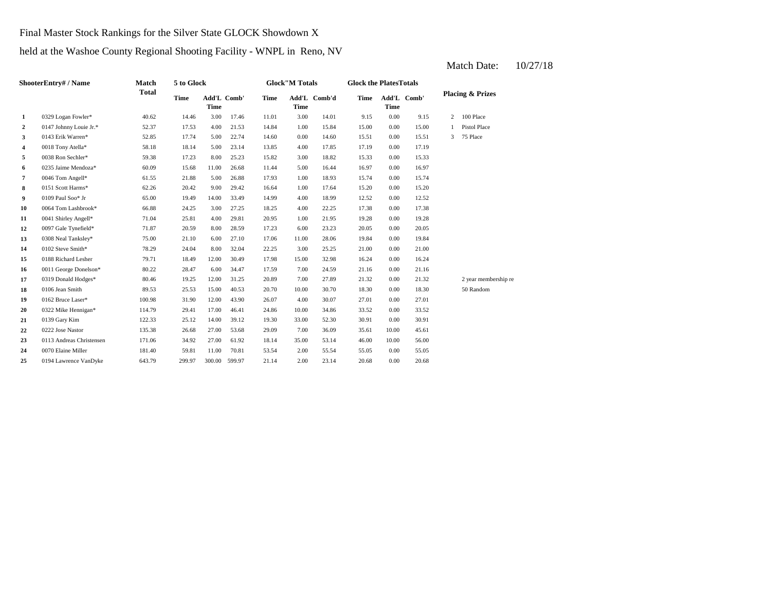Final Master Stock Rankings for the Silver State GLOCK Showdown X

held at the Washoe County Regional Shooting Facility - WNPL in Reno, NV

#### **2** 0147 Johnny Louie Jr.\* 52.37 17.53 4.00 21.53 14.84 1.00 15.84 15.00 0.00 **3** 0.0143 Erik Warren\* 52.85 17.74 5.00 22.74 14.60 0.00 14.60 15.51 **4** 0018 Tony Atella\* 58.18 18.14 5.00 23.14 13.85 4.00 17.85 17.19 **5**  $\frac{0.38 \text{ Ron Sechler*}}{15.33}$  17.23  $\frac{0.38 \text{ No. } 25.23}{15.82}$  15.82 15.82 15.33 **6**  $0.235$  Jaime Mendoza\* 60.09 15.68 11.00 26.68 11.44 5.00 16.44 16.97 0.00 **7** 0046 Tom Angell\* 61.55 21.88 5.00 26.88 17.93 1.00 18.93 15.74 0.00 15.74 **8** 1.00 17.64 15.20 16.64 1.00 17.64 15.20 **9**  $0109$  Paul Soo\* Jr 65.00 19.49 14.00 33.49 14.99 4.00 18.99 12.52 **10** 0064 Tom Lashbrook\* 66.88 24.25 3.00 27.25 18.25 4.00 22.25 17.38 0.00 **11** 1.00 19.28 0041 Shirley Angell\* 71.04 25.81 4.00 29.81 20.95 21.95 0.00 19.28 **12** 6.00 20.05 0097 Gale Tynefield\* 71.87 20.59 8.00 28.59 17.23 **13** 0308 Neal Tanksley\* 75.00 21.10 6.00 27.10 17.06 11.00 28.06 19.84 **14**  $0.102$  Steve Smith\* **78.29** 24.04 8.00 32.04 22.25 3.00 25.25 21.00 0.00 **15** 15.00 16.24 0188 Richard Lesher 79.71 18.49 12.00 30.49 17.98 32.98 0.00 16.24 **16** 0011 George Donelson\* 80.22 28.47 6.00 34.47 17.59 7.00 24.59 21.16 **17** 0319 Donald Hodges\* 80.46 19.25 12.00 31.25 20.89 7.00 27.89 21.32 **18** 0106 Jean Smith 89.53 25.53 15.00 40.53 20.70 10.00 30.70 18.30 **19** 0162 Bruce Laser\* **100.98** 31.90 12.00 43.90 26.07 4.00 30.07 27.01 **20** 0322 Mike Hennigan\* 114.79 29.41 17.00 46.41 24.86 10.00 34.86 33.52 0.00 **21** 0139 Gary Kim **222.33** 25.12 14.00 39.12 19.30 33.00 52.30 30.91 **22** 0222 Jose Nastor **135.38** 26.68 27.00 53.68 29.09 7.00 36.09 35.61 **23** 35.00 46.00 0113 Andreas Christensen 171.06 34.92 27.00 61.92 18.14 53.14 **24** 2.00 55.05 0070 Elaine Miller 181.40 59.81 11.00 70.81 53.54 55.54 0.00 25 0194 Lawrence VanDyke 643.79 299.97 300.00 599.97 21.14 2.00 23.14 20.68 0.00 20.68 55.05 10.00 56.00 36.09 10.00 45.61 33.52 0139 Gary Kim 122.33 25.12 14.00 39.12 19.30 33.00 52.30 30.91 0.00 30.91 0.00 27.01 0.00 18.30 50 Random 0.00 21.32 2 year membership re 24.59 0.00 21.16 21.00 0.00 19.84 23.23 0.00 20.05 17.38 0.00 12.52 17.64 15.20 0.00 15.20 16.97 0.00 15.33 17.85 0.00 17.19 0.00 15.51 3 75 Place 15.00 1 Pistol Place 2 100 Place **1** 0329 Logan Fowler\* 40.62 14.46 3.00 17.46 11.01 3.00 14.01 9.15 0.00 9.15 **Placing & Prizes Time Add'L Time Add'L Comb'd Time Add'L Time** Add'L Comb' **Time Time** Add'L Comb' **ShooterEntry# / Name Match Total 5 to Glock Time Glock"M Totals Glock the PlatesTotals**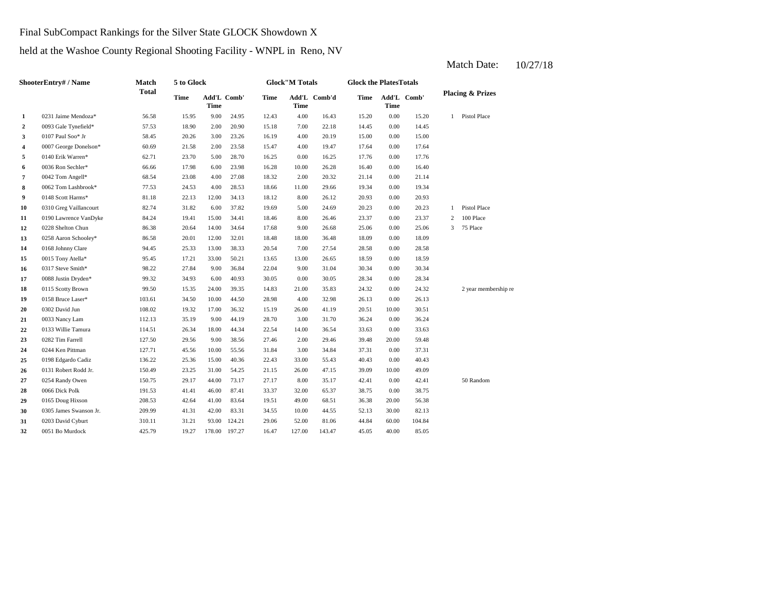Final SubCompact Rankings for the Silver State GLOCK Showdown X

held at the Washoe County Regional Shooting Facility - WNPL in Reno, NV

#### **2** 7.00 14.45 0093 Gale Tynefield\* 57.53 18.90 2.00 20.90 15.18 22.18 0.00 14.45 **3**  $\frac{1017 \text{ Paul So}}{15.00}$  Paul Soo\* Jr 58.45 20.26 3.00 23.26 16.19 4.00 20.19 15.00 **4** 0007 George Donelson\* 60.69 21.58 2.00 23.58 15.47 4.00 19.47 17.64 **5** 0140 Erik Warren\* 62.71 23.70 5.00 28.70 16.25 0.00 16.25 17.76 0.00 **6** 0036 Ron Sechler\* 66.66 17.98 6.00 23.98 16.28 10.00 26.28 16.40 0.00 16.40 **7** 2.00 21.14 0042 Tom Angell\* 68.54 23.08 4.00 27.08 18.32 **8** 11.00 29.66 **19.34** 20.53 24.53 4.00 28.53 18.66 11.00 29.66 19.34 **9** 81.18 **1148 Scott Harms\*** 81.18 22.13 12.00 34.13 18.12 8.00 26.12 20.93 0.00 **10** 0310 Greg Vaillancourt 82.74 31.82 6.00 37.82 19.69 5.00 24.69 20.23 0.00 20.23 **11** 0190 Lawrence VanDyke 84.24 19.41 15.00 34.41 18.46 8.00 26.46 23.37 0.00 **12** 9.00 25.06 0228 Shelton Chun 86.38 20.64 14.00 34.64 17.68 26.68 **13** 0258 Aaron Schooley\* 86.58 20.01 12.00 32.01 18.48 18.00 36.48 18.09 **14** 7.00 28.58 0168 Johnny Clare 94.45 25.33 13.00 38.33 20.54 27.54 **15** 0015 Tony Atella\* 95.45 17.21 33.00 50.21 13.65 13.00 26.65 18.59 0.00 **16** 0317 Steve Smith\* 98.22 27.84 9.00 36.84 22.04 9.00 31.04 30.34 **17** 0.008 Justin Dryden\* 99.32 34.93 6.00 40.93 30.05 0.00 30.05 28.34 **18** 0115 Scotty Brown 99.50 15.35 24.00 39.35 14.83 21.00 35.83 24.32 **19** 0158 Bruce Laser\* 103.61 34.50 10.00 44.50 28.98 4.00 32.98 26.13 **20** 0302 David Jun 108.02 19.32 17.00 36.32 15.19 26.00 41.19 20.51 10.00 **21** 0033 Nancy Lam **112.13** 35.19 9.00 44.19 28.70 3.00 31.70 36.24 0.00 36.24 **22** 14.00 33.63 0133 Willie Tamura 114.51 26.34 18.00 44.34 22.54 **23** 0282 Tim Farrell **127.50** 29.56 9.00 38.56 27.46 2.00 29.46 39.48 **24** 0244 Ken Pittman **2127.71** 245.56 10.00 55.56 31.84 3.00 34.84 37.31 **25** 33.00 40.43 0198 Edgardo Cadiz 136.22 25.36 15.00 40.36 22.43 55.43 0.00 40.43 **26** 0131 Robert Rodd Jr. 150.49 23.25 31.00 54.25 21.15 26.00 47.15 39.09 **27** 0254 Randy Owen 150.75 29.17 44.00 73.17 27.17 8.00 35.17 42.41 **28** 0066 Dick Polk **191.53** 41.41 46.00 87.41 33.37 32.00 65.37 38.75 **29** 0165 Doug Hixson 208.53 42.64 41.00 83.64 19.51 49.00 68.51 36.38 20.00 **30** 0305 James Swanson Jr. 209.99 41.31 42.00 83.31 34.55 10.00 44.55 52.13 30.00 82.13 **31** 0203 David Cyburt 310.11 31.21 93.00 124.21 29.06 52.00 81.06 44.84 **32** 0051 Bo Murdock **425.79** 19.27 178.00 197.27 16.47 127.00 143.47 45.05 40.00 85.05 81.06 60.00 104.84 56.38 0.00 38.75 0.00 42.41 50 Random 47.15 39.09 10.00 49.09 37.31 20.00 59.48 0244 Ken Pittman 127.71 45.56 10.00 55.56 31.84 3.00 34.84 37.31 0.00 36.54 0.00 33.63 30.51 0.00 26.13 0.00 24.32 2 year membership re 30.05 0.00 28.34 18.59 0317 Steve Smith\* 98.22 27.84 9.00 36.84 22.04 9.00 31.04 30.34 0.00 30.34 0.00 28.58 36.48 0.00 18.09 0.00 25.06 3 75 Place 23.37 2 100 Place 1 Pistol Place 20.93 0.00 19.34 20.32 0.00 21.14 17.76 0.00 17.64 20.19 0.00 15.00 Pistol Place 4.00 16.43 15.20 0.00 15.20 1 **Time Add'L Comb' Time 1** 0231 Jaime Mendoza\* 56.58 15.95 9.00 24.95 12.43 **Time Add'L Comb' Time Time Add'L Comb'd Time ShooterEntry# / Name Match Total 5 to Glock Time Glock"M Totals Glock the PlatesTotals Placing & Prizes**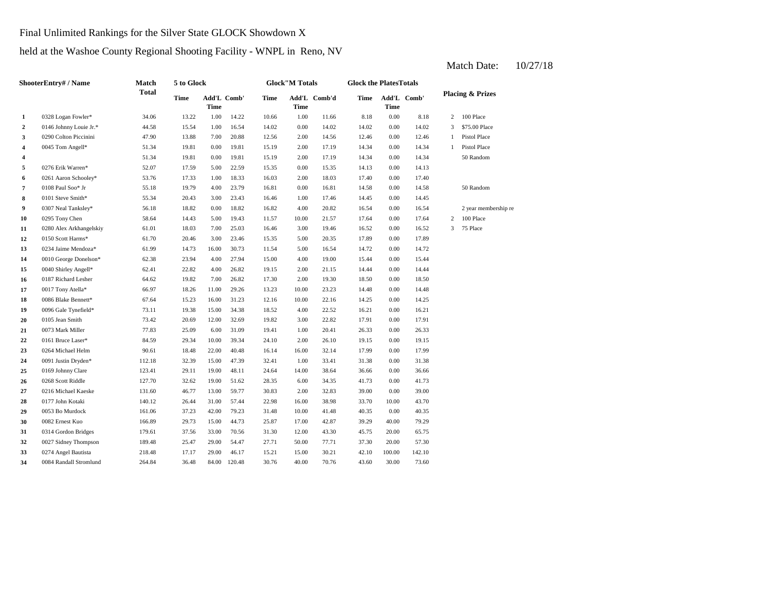Final Unlimited Rankings for the Silver State GLOCK Showdown X

## held at the Washoe County Regional Shooting Facility - WNPL in Reno, NV

#### **2** 0.00 14.02 0146 Johnny Louie Jr.\* 44.58 15.54 1.00 16.54 14.02 14.02 **3** 2.00 12.46 0290 Colton Piccinini 47.90 13.88 7.00 20.88 12.56 **4** 2.00 14.34 0045 Tom Angell\* 51.34 19.81 0.00 19.81 **4** 2.00 17.19 14.34 19.81 0.00 19.81 15.19 2.00 17.19 14.34 **5** 0.00 15.35 14.13 **52.07** 17.59 5.00 22.59 15.35 0.00 15.35 14.13 **6** 2.00 17.40 0261 Aaron Schooley\* 53.76 17.33 1.00 18.33 16.03 18.03 0.00 **7** 0.00 Paul Soo\* Jr **55.18 19.79 4.00 23.79 16.81 0.00 16.81 14.58 8** 0101 Steve Smith\* 55.34 20.43 3.00 23.43 16.46 1.00 17.46 14.45 0.00 14.45 **9** 0307 Neal Tanksley\* **56.18** 18.82 0.00 18.82 16.82 4.00 20.82 16.54 **10** 0295 Tony Chen 58.64 14.43 5.00 19.43 11.57 10.00 21.57 17.64 **11** 3.00 16.52 0280 Alex Arkhangelskiy 61.01 18.03 7.00 25.03 **12** 0150 Scott Harms\* 61.70 20.46 3.00 23.46 15.35 5.00 20.35 17.89 **13** 0234 Jaime Mendoza\* 61.99 14.73 16.00 30.73 11.54 5.00 16.54 14.72 **14** 0010 George Donelson\* 62.38 23.94 4.00 27.94 15.00 4.00 19.00 15.44 0.00 **15** 2.00 14.44 0040 Shirley Angell\* 62.41 22.82 4.00 26.82 19.15 21.15 0.00 14.44 **16** 2.00 18.50 0187 Richard Lesher 64.62 19.82 7.00 26.82 17.30 **17** 0017 Tony Atella\* 66.97 18.26 11.00 29.26 13.23 10.00 23.23 14.48 **18** 0086 Blake Bennett\* 67.64 15.23 16.00 31.23 12.16 10.00 22.16 14.25 0.00 **19** 0096 Gale Tynefield\* 73.11 19.38 15.00 34.38 18.52 4.00 22.52 16.21 0.00 16.21 **20** 0105 Jean Smith 73.42 20.69 12.00 32.69 19.82 3.00 22.82 17.91 **21** 1.00 26.33 0073 Mark Miller 77.83 25.09 6.00 31.09 19.41 20.41 **22** 22 0161 Bruce Laser\* 84.59 29.34 10.00 39.34 24.10 2.00 26.10 19.15 **23** 0264 Michael Helm **90.61** 18.48 22.00 40.48 16.14 16.00 32.14 17.99 0.00 17.99 **24** 1.00 31.38 0091 Justin Dryden\* 112.18 32.39 15.00 47.39 32.41 **25** 14.00 36.66 0169 Johnny Clare 123.41 29.11 19.00 48.11 24.64 38.64 **26** 0268 Scott Riddle 127.70 32.62 19.00 51.62 28.35 6.00 34.35 41.73 0.00 **27** 0216 Michael Kaeske 131.60 46.77 13.00 59.77 30.83 2.00 32.83 39.00 0.00 39.00 **28** 16.00 33.70 0177 John Kotaki 140.12 26.44 31.00 57.44 22.98 **29** 0053 Bo Murdock 161.06 37.23 42.00 79.23 31.48 10.00 41.48 40.35 **30** 17.00 39.29 0082 Ernest Kuo 166.89 29.73 15.00 44.73 25.87 42.87 40.00 **31** 12.00 45.75 0314 Gordon Bridges 179.61 37.56 33.00 70.56 31.30 43.30 20.00 65.75 **32**  $\frac{189.48}{25.47}$  29.00 54.47 27.71 50.00 77.71 37.30 **33** 1274 Angel Bautista 218.48 17.17 29.00 46.17 15.21 15.00 30.21 42.10 **34** 0084 Randall Stromlund 264.84 36.48 84.00 120.48 30.76 40.00 70.76 43.60 30.00 73.60 100.00 142.10 77.71 37.30 20.00 57.30 79.29 0.00 40.35 38.98 33.70 10.00 43.70 41.73 0.00 36.66 33.41 0.00 31.38 19.15 0.00 26.33 0161 Bruce Laser\* 6 84.59 29.34 10.00 39.34 24.10 2.00 26.10 19.15 0.00 22.82 0.00 17.91 14.25 0.00 14.48 19.30 0.00 18.50 15.44 0.00 14.72 20.35 0.00 17.89 16.46 3.00 19.46 16.52 0.00 16.52 3 75 Place 21.57 17.64 0.00 17.64 2 100 Place 20.82 16.54 0.00 16.54 2 year membership re 50 Random 17.40 0108 Paul Soo\* Jr 55.18 19.79 4.00 23.79 16.81 16.81 0.00 14.58 0.00 14.13 0.00 14.34 50 Random 51.34 19.81 0.00 19.81 15.19 17.19 15.19 2.00 17.19 14.34 0.00 14.34 1 Pistol Place 14.56 0.00 12.46 1 Pistol Place 0.00 14.02 3 \$75.00 Place 8.18 2 100 Place 14.22 10.66 1.00 11.66 8.18 0.00 **Add'L Comb'd Time Add'L Time Time** Add'L Comb' **1** 0328 Logan Fowler\* 34.06 13.22 1.00 **ShooterEntry# / Name Match Total 5 to Glock Time Glock"M Totals Glock the PlatesTotals Placing & Prizes Time Add'L Time** Add'L Comb' **Time**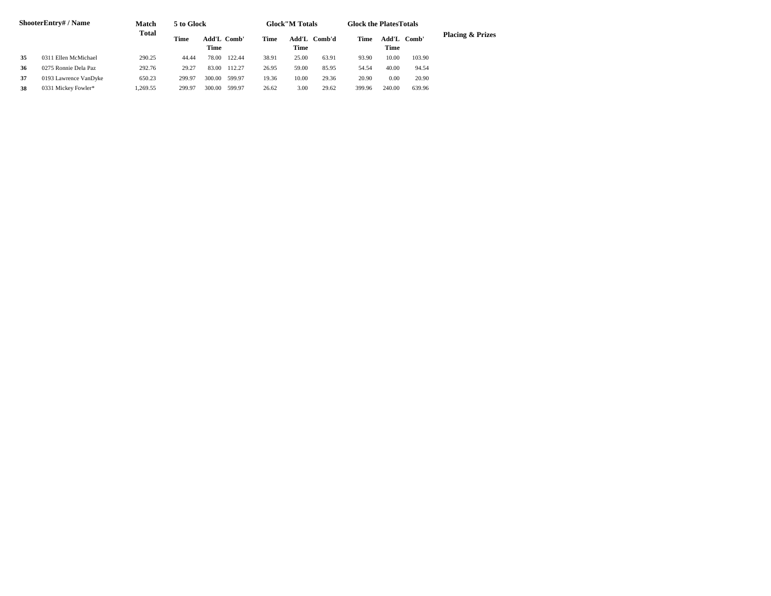| <b>ShooterEntry#/Name</b> |                       | <b>Match</b> | 5 to Glock |                     |        |       | <b>Glock</b> "M Totals |              | <b>Glock the Plates Totals</b> |        |             |                             |
|---------------------------|-----------------------|--------------|------------|---------------------|--------|-------|------------------------|--------------|--------------------------------|--------|-------------|-----------------------------|
|                           |                       | Total        | Time       | Add'L Comb'<br>Time |        | Time  | <b>Time</b>            | Add'L Comb'd | Time                           | Time   | Add'L Comb' | <b>Placing &amp; Prizes</b> |
| 35                        | 0311 Ellen McMichael  | 290.25       | 44.44      | 78.00               | 122.44 | 38.91 | 25.00                  | 63.91        | 93.90                          | 10.00  | 103.90      |                             |
| 36                        | 0275 Ronnie Dela Paz  | 292.76       | 29.27      | 83.00               | 112.27 | 26.95 | 59.00                  | 85.95        | 54.54                          | 40.00  | 94.54       |                             |
| 37                        | 0193 Lawrence VanDyke | 650.23       | 299.97     | 300.00              | 599.97 | 19.36 | 10.00                  | 29.36        | 20.90                          | 0.00   | 20.90       |                             |
| 38                        | 0331 Mickey Fowler*   | .269.55      | 299.97     | 300.00              | 599.97 | 26.62 | 3.00                   | 29.62        | 399.96                         | 240.00 | 639.96      |                             |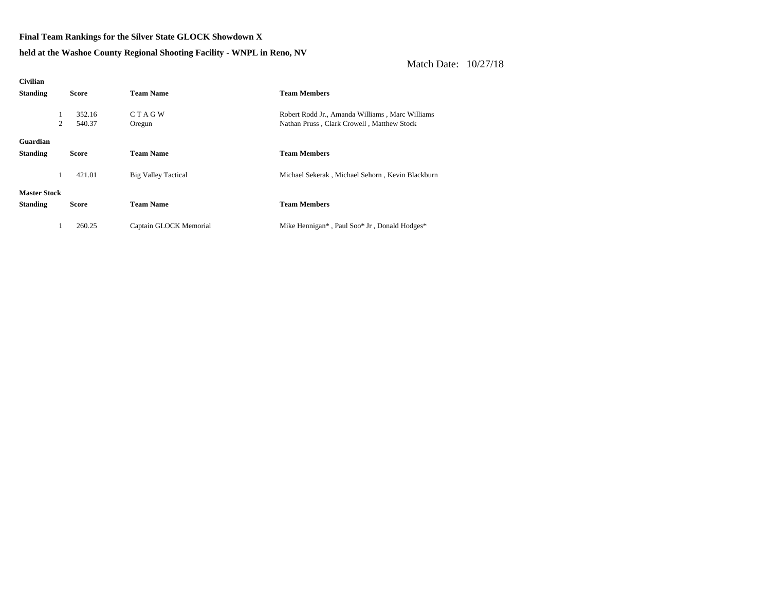## **Final Team Rankings for the Silver State GLOCK Showdown X**

**held at the Washoe County Regional Shooting Facility - WNPL in Reno, NV**

| <b>Civilian</b>     |   |              |                            |                                                  |
|---------------------|---|--------------|----------------------------|--------------------------------------------------|
| <b>Standing</b>     |   | <b>Score</b> | <b>Team Name</b>           | <b>Team Members</b>                              |
|                     |   |              |                            |                                                  |
|                     | 1 | 352.16       | <b>CTAGW</b>               | Robert Rodd Jr., Amanda Williams, Marc Williams  |
|                     | 2 | 540.37       | Oregun                     | Nathan Pruss, Clark Crowell, Matthew Stock       |
|                     |   |              |                            |                                                  |
| Guardian            |   |              |                            |                                                  |
| <b>Standing</b>     |   | <b>Score</b> | <b>Team Name</b>           | <b>Team Members</b>                              |
|                     |   |              |                            |                                                  |
|                     | 1 | 421.01       | <b>Big Valley Tactical</b> | Michael Sekerak, Michael Sehorn, Kevin Blackburn |
|                     |   |              |                            |                                                  |
| <b>Master Stock</b> |   |              |                            |                                                  |
| <b>Standing</b>     |   | <b>Score</b> | <b>Team Name</b>           | <b>Team Members</b>                              |
|                     |   |              |                            |                                                  |
|                     | 1 | 260.25       | Captain GLOCK Memorial     | Mike Hennigan*, Paul Soo* Jr, Donald Hodges*     |